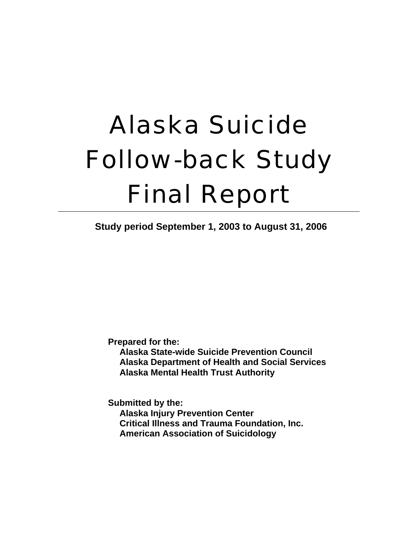# Alaska Suicide Follow-back Study Final Report

**Study period September 1, 2003 to August 31, 2006**

**Prepared for the:** 

**Alaska State-wide Suicide Prevention Council Alaska Department of Health and Social Services Alaska Mental Health Trust Authority** 

**Submitted by the: Alaska Injury Prevention Center Critical Illness and Trauma Foundation, Inc. American Association of Suicidology**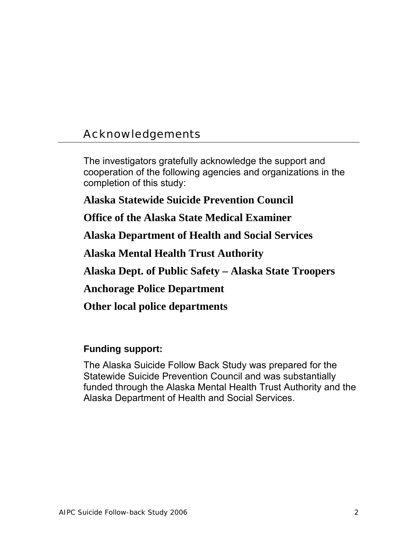## Acknowledgements

The investigators gratefully acknowledge the support and cooperation of the following agencies and organizations in the completion of this study:

**Alaska Statewide Suicide Prevention Council** 

**Office of the Alaska State Medical Examiner** 

**Alaska Department of Health and Social Services** 

**Alaska Mental Health Trust Authority** 

**Alaska Dept. of Public Safety – Alaska State Troopers** 

**Anchorage Police Department** 

**Other local police departments**

#### **Funding support:**

The Alaska Suicide Follow Back Study was prepared for the Statewide Suicide Prevention Council and was substantially funded through the Alaska Mental Health Trust Authority and the Alaska Department of Health and Social Services.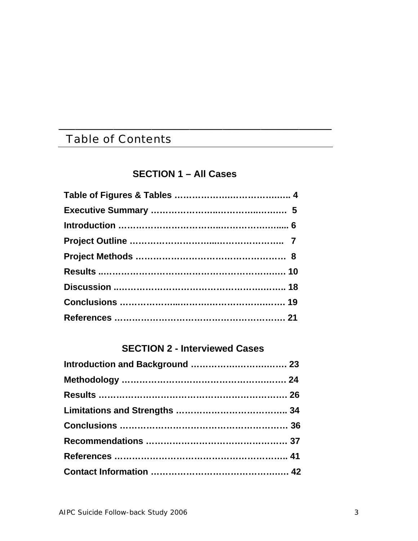## Table of Contents

#### **SECTION 1 – All Cases**

\_\_\_\_\_\_\_\_\_\_\_\_\_\_\_\_\_\_\_\_\_\_\_\_\_\_\_\_\_\_\_\_\_\_\_\_\_\_\_\_\_\_\_\_\_\_\_\_\_\_

#### **SECTION 2 - Interviewed Cases**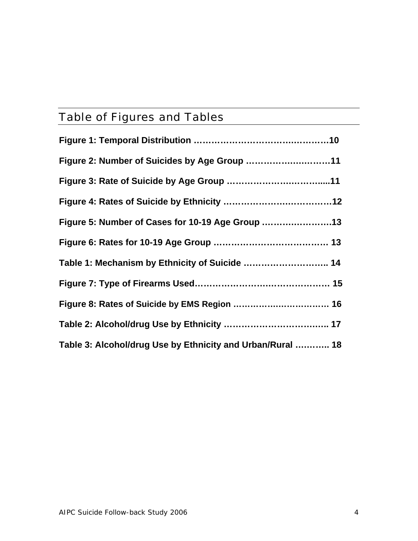## Table of Figures and Tables

| Figure 2: Number of Suicides by Age Group 11               |
|------------------------------------------------------------|
|                                                            |
|                                                            |
| Figure 5: Number of Cases for 10-19 Age Group 13           |
|                                                            |
| Table 1: Mechanism by Ethnicity of Suicide  14             |
|                                                            |
|                                                            |
|                                                            |
| Table 3: Alcohol/drug Use by Ethnicity and Urban/Rural  18 |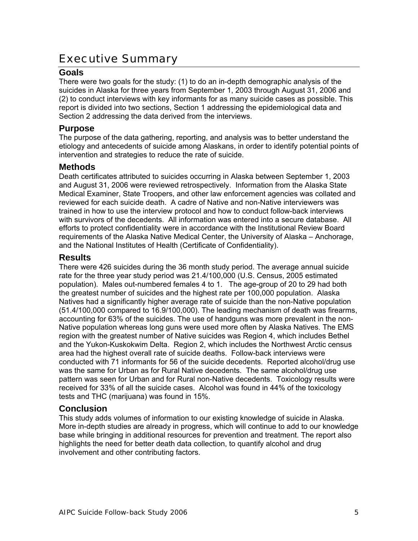## Executive Summary

#### **Goals**

There were two goals for the study: (1) to do an in-depth demographic analysis of the suicides in Alaska for three years from September 1, 2003 through August 31, 2006 and (2) to conduct interviews with key informants for as many suicide cases as possible. This report is divided into two sections, Section 1 addressing the epidemiological data and Section 2 addressing the data derived from the interviews.

#### **Purpose**

The purpose of the data gathering, reporting, and analysis was to better understand the etiology and antecedents of suicide among Alaskans, in order to identify potential points of intervention and strategies to reduce the rate of suicide.

#### **Methods**

Death certificates attributed to suicides occurring in Alaska between September 1, 2003 and August 31, 2006 were reviewed retrospectively. Information from the Alaska State Medical Examiner, State Troopers, and other law enforcement agencies was collated and reviewed for each suicide death. A cadre of Native and non-Native interviewers was trained in how to use the interview protocol and how to conduct follow-back interviews with survivors of the decedents. All information was entered into a secure database. All efforts to protect confidentiality were in accordance with the Institutional Review Board requirements of the Alaska Native Medical Center, the University of Alaska – Anchorage, and the National Institutes of Health (Certificate of Confidentiality).

#### **Results**

There were 426 suicides during the 36 month study period. The average annual suicide rate for the three year study period was 21.4/100,000 (U.S. Census, 2005 estimated population). Males out-numbered females 4 to 1. The age-group of 20 to 29 had both the greatest number of suicides and the highest rate per 100,000 population. Alaska Natives had a significantly higher average rate of suicide than the non-Native population (51.4/100,000 compared to 16.9/100,000). The leading mechanism of death was firearms, accounting for 63% of the suicides. The use of handguns was more prevalent in the non-Native population whereas long guns were used more often by Alaska Natives. The EMS region with the greatest number of Native suicides was Region 4, which includes Bethel and the Yukon-Kuskokwim Delta. Region 2, which includes the Northwest Arctic census area had the highest overall rate of suicide deaths. Follow-back interviews were conducted with 71 informants for 56 of the suicide decedents. Reported alcohol/drug use was the same for Urban as for Rural Native decedents. The same alcohol/drug use pattern was seen for Urban and for Rural non-Native decedents. Toxicology results were received for 33% of all the suicide cases. Alcohol was found in 44% of the toxicology tests and THC (marijuana) was found in 15%.

#### **Conclusion**

This study adds volumes of information to our existing knowledge of suicide in Alaska. More in-depth studies are already in progress, which will continue to add to our knowledge base while bringing in additional resources for prevention and treatment. The report also highlights the need for better death data collection, to quantify alcohol and drug involvement and other contributing factors.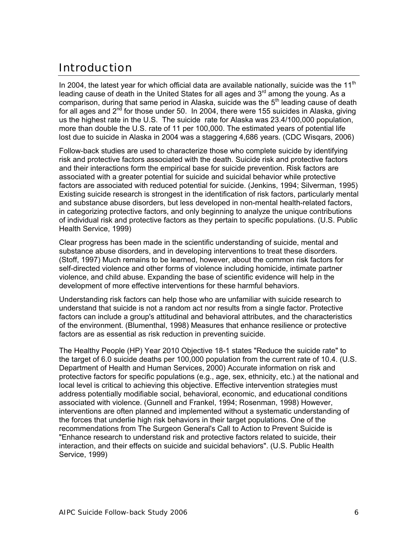## Introduction

In 2004, the latest year for which official data are available nationally, suicide was the 11<sup>th</sup> leading cause of death in the United States for all ages and 3<sup>rd</sup> among the young. As a comparison, during that same period in Alaska, suicide was the  $5<sup>th</sup>$  leading cause of death for all ages and  $2<sup>nd</sup>$  for those under 50. In 2004, there were 155 suicides in Alaska, giving us the highest rate in the U.S. The suicide rate for Alaska was 23.4/100,000 population, more than double the U.S. rate of 11 per 100,000. The estimated years of potential life lost due to suicide in Alaska in 2004 was a staggering 4,686 years. (CDC Wisqars, 2006)

Follow-back studies are used to characterize those who complete suicide by identifying risk and protective factors associated with the death. Suicide risk and protective factors and their interactions form the empirical base for suicide prevention. Risk factors are associated with a greater potential for suicide and suicidal behavior while protective factors are associated with reduced potential for suicide. (Jenkins, 1994; Silverman, 1995) Existing suicide research is strongest in the identification of risk factors, particularly mental and substance abuse disorders, but less developed in non-mental health-related factors, in categorizing protective factors, and only beginning to analyze the unique contributions of individual risk and protective factors as they pertain to specific populations. (U.S. Public Health Service, 1999)

Clear progress has been made in the scientific understanding of suicide, mental and substance abuse disorders, and in developing interventions to treat these disorders. (Stoff, 1997) Much remains to be learned, however, about the common risk factors for self-directed violence and other forms of violence including homicide, intimate partner violence, and child abuse. Expanding the base of scientific evidence will help in the development of more effective interventions for these harmful behaviors.

Understanding risk factors can help those who are unfamiliar with suicide research to understand that suicide is not a random act nor results from a single factor. Protective factors can include a group's attitudinal and behavioral attributes, and the characteristics of the environment. (Blumenthal, 1998) Measures that enhance resilience or protective factors are as essential as risk reduction in preventing suicide.

The Healthy People (HP) Year 2010 Objective 18-1 states "Reduce the suicide rate" to the target of 6.0 suicide deaths per 100,000 population from the current rate of 10.4. (U.S. Department of Health and Human Services, 2000) Accurate information on risk and protective factors for specific populations (e.g., age, sex, ethnicity, etc.) at the national and local level is critical to achieving this objective. Effective intervention strategies must address potentially modifiable social, behavioral, economic, and educational conditions associated with violence. (Gunnell and Frankel, 1994; Rosenman, 1998) However, interventions are often planned and implemented without a systematic understanding of the forces that underlie high risk behaviors in their target populations. One of the recommendations from The Surgeon General's Call to Action to Prevent Suicide is "Enhance research to understand risk and protective factors related to suicide, their interaction, and their effects on suicide and suicidal behaviors". (U.S. Public Health Service, 1999)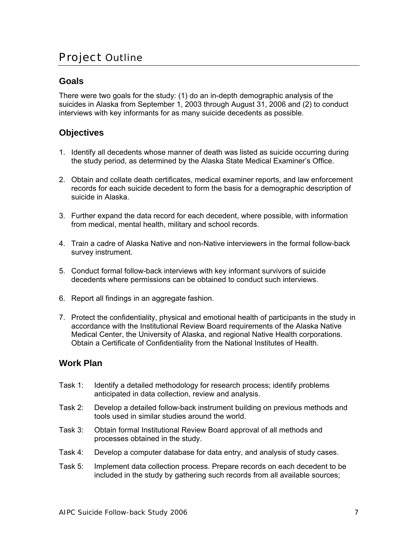## Project Outline

#### **Goals**

There were two goals for the study: (1) do an in-depth demographic analysis of the suicides in Alaska from September 1, 2003 through August 31, 2006 and (2) to conduct interviews with key informants for as many suicide decedents as possible.

#### **Objectives**

- 1. Identify all decedents whose manner of death was listed as suicide occurring during the study period, as determined by the Alaska State Medical Examiner's Office.
- 2. Obtain and collate death certificates, medical examiner reports, and law enforcement records for each suicide decedent to form the basis for a demographic description of suicide in Alaska.
- 3. Further expand the data record for each decedent, where possible, with information from medical, mental health, military and school records.
- 4. Train a cadre of Alaska Native and non-Native interviewers in the formal follow-back survey instrument.
- 5. Conduct formal follow-back interviews with key informant survivors of suicide decedents where permissions can be obtained to conduct such interviews.
- 6. Report all findings in an aggregate fashion.
- 7. Protect the confidentiality, physical and emotional health of participants in the study in accordance with the Institutional Review Board requirements of the Alaska Native Medical Center, the University of Alaska, and regional Native Health corporations. Obtain a Certificate of Confidentiality from the National Institutes of Health.

#### **Work Plan**

- Task 1: Identify a detailed methodology for research process; identify problems anticipated in data collection, review and analysis.
- Task 2: Develop a detailed follow-back instrument building on previous methods and tools used in similar studies around the world.
- Task 3: Obtain formal Institutional Review Board approval of all methods and processes obtained in the study.
- Task 4: Develop a computer database for data entry, and analysis of study cases.
- Task 5: Implement data collection process. Prepare records on each decedent to be included in the study by gathering such records from all available sources;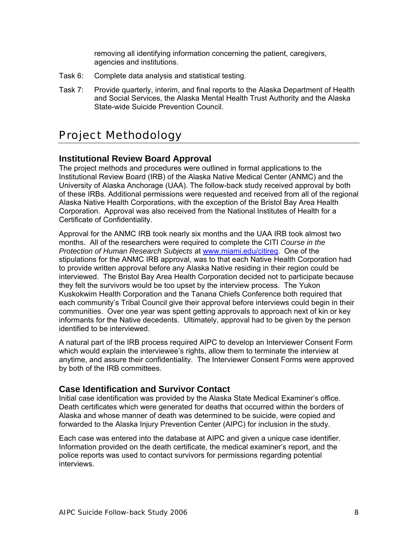removing all identifying information concerning the patient, caregivers, agencies and institutions.

- Task 6: Complete data analysis and statistical testing.
- Task 7: Provide quarterly, interim, and final reports to the Alaska Department of Health and Social Services, the Alaska Mental Health Trust Authority and the Alaska State-wide Suicide Prevention Council.

## Project Methodology

#### **Institutional Review Board Approval**

The project methods and procedures were outlined in formal applications to the Institutional Review Board (IRB) of the Alaska Native Medical Center (ANMC) and the University of Alaska Anchorage (UAA). The follow-back study received approval by both of these IRBs. Additional permissions were requested and received from all of the regional Alaska Native Health Corporations, with the exception of the Bristol Bay Area Health Corporation. Approval was also received from the National Institutes of Health for a Certificate of Confidentiality.

Approval for the ANMC IRB took nearly six months and the UAA IRB took almost two months. All of the researchers were required to complete the CITI *Course in the Protection of Human Research Subjects* at www.miami.edu/citireq. One of the stipulations for the ANMC IRB approval, was to that each Native Health Corporation had to provide written approval before any Alaska Native residing in their region could be interviewed. The Bristol Bay Area Health Corporation decided not to participate because they felt the survivors would be too upset by the interview process. The Yukon Kuskokwim Health Corporation and the Tanana Chiefs Conference both required that each community's Tribal Council give their approval before interviews could begin in their communities. Over one year was spent getting approvals to approach next of kin or key informants for the Native decedents. Ultimately, approval had to be given by the person identified to be interviewed.

A natural part of the IRB process required AIPC to develop an Interviewer Consent Form which would explain the interviewee's rights, allow them to terminate the interview at anytime, and assure their confidentiality. The Interviewer Consent Forms were approved by both of the IRB committees.

#### **Case Identification and Survivor Contact**

Initial case identification was provided by the Alaska State Medical Examiner's office. Death certificates which were generated for deaths that occurred within the borders of Alaska and whose manner of death was determined to be suicide, were copied and forwarded to the Alaska Injury Prevention Center (AIPC) for inclusion in the study.

Each case was entered into the database at AIPC and given a unique case identifier. Information provided on the death certificate, the medical examiner's report, and the police reports was used to contact survivors for permissions regarding potential interviews.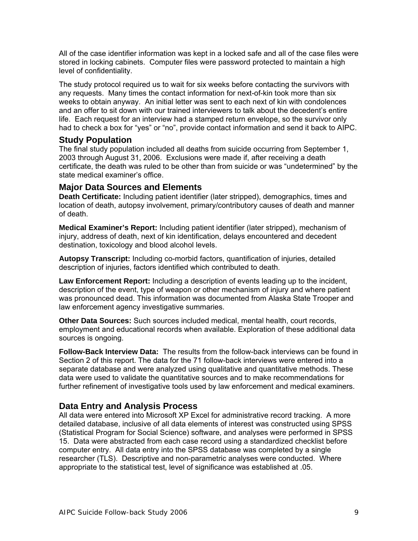All of the case identifier information was kept in a locked safe and all of the case files were stored in locking cabinets. Computer files were password protected to maintain a high level of confidentiality.

The study protocol required us to wait for six weeks before contacting the survivors with any requests. Many times the contact information for next-of-kin took more than six weeks to obtain anyway. An initial letter was sent to each next of kin with condolences and an offer to sit down with our trained interviewers to talk about the decedent's entire life. Each request for an interview had a stamped return envelope, so the survivor only had to check a box for "yes" or "no", provide contact information and send it back to AIPC.

#### **Study Population**

The final study population included all deaths from suicide occurring from September 1, 2003 through August 31, 2006. Exclusions were made if, after receiving a death certificate, the death was ruled to be other than from suicide or was "undetermined" by the state medical examiner's office.

#### **Major Data Sources and Elements**

**Death Certificate:** Including patient identifier (later stripped), demographics, times and location of death, autopsy involvement, primary/contributory causes of death and manner of death.

**Medical Examiner's Report:** Including patient identifier (later stripped), mechanism of injury, address of death, next of kin identification, delays encountered and decedent destination, toxicology and blood alcohol levels.

**Autopsy Transcript:** Including co-morbid factors, quantification of injuries, detailed description of injuries, factors identified which contributed to death.

**Law Enforcement Report:** Including a description of events leading up to the incident, description of the event, type of weapon or other mechanism of injury and where patient was pronounced dead. This information was documented from Alaska State Trooper and law enforcement agency investigative summaries.

**Other Data Sources:** Such sources included medical, mental health, court records, employment and educational records when available. Exploration of these additional data sources is ongoing.

**Follow-Back Interview Data:** The results from the follow-back interviews can be found in Section 2 of this report. The data for the 71 follow-back interviews were entered into a separate database and were analyzed using qualitative and quantitative methods. These data were used to validate the quantitative sources and to make recommendations for further refinement of investigative tools used by law enforcement and medical examiners.

#### **Data Entry and Analysis Process**

All data were entered into Microsoft XP Excel for administrative record tracking. A more detailed database, inclusive of all data elements of interest was constructed using SPSS (Statistical Program for Social Science) software, and analyses were performed in SPSS 15. Data were abstracted from each case record using a standardized checklist before computer entry. All data entry into the SPSS database was completed by a single researcher (TLS). Descriptive and non-parametric analyses were conducted. Where appropriate to the statistical test, level of significance was established at .05.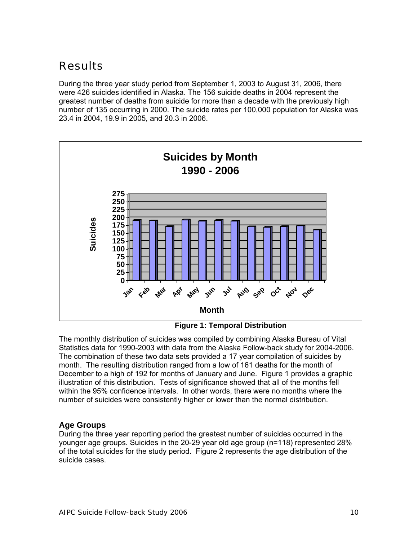## Results

During the three year study period from September 1, 2003 to August 31, 2006, there were 426 suicides identified in Alaska. The 156 suicide deaths in 2004 represent the greatest number of deaths from suicide for more than a decade with the previously high number of 135 occurring in 2000. The suicide rates per 100,000 population for Alaska was 23.4 in 2004, 19.9 in 2005, and 20.3 in 2006.



**Figure 1: Temporal Distribution**

The monthly distribution of suicides was compiled by combining Alaska Bureau of Vital Statistics data for 1990-2003 with data from the Alaska Follow-back study for 2004-2006. The combination of these two data sets provided a 17 year compilation of suicides by month. The resulting distribution ranged from a low of 161 deaths for the month of December to a high of 192 for months of January and June. Figure 1 provides a graphic illustration of this distribution. Tests of significance showed that all of the months fell within the 95% confidence intervals. In other words, there were no months where the number of suicides were consistently higher or lower than the normal distribution.

#### **Age Groups**

During the three year reporting period the greatest number of suicides occurred in the younger age groups. Suicides in the 20-29 year old age group (n=118) represented 28% of the total suicides for the study period. Figure 2 represents the age distribution of the suicide cases.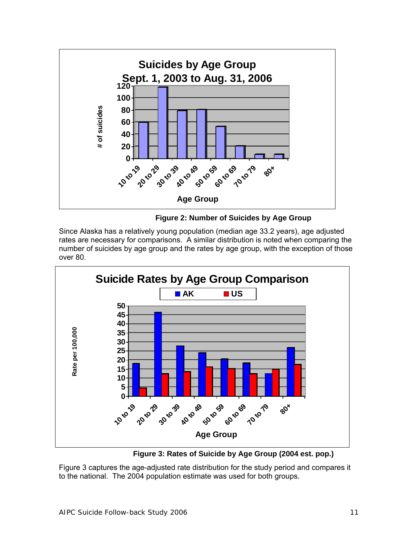



Since Alaska has a relatively young population (median age 33.2 years), age adjusted rates are necessary for comparisons. A similar distribution is noted when comparing the number of suicides by age group and the rates by age group, with the exception of those over 80.



**Figure 3: Rates of Suicide by Age Group (2004 est. pop.)** 

Figure 3 captures the age-adjusted rate distribution for the study period and compares it to the national. The 2004 population estimate was used for both groups.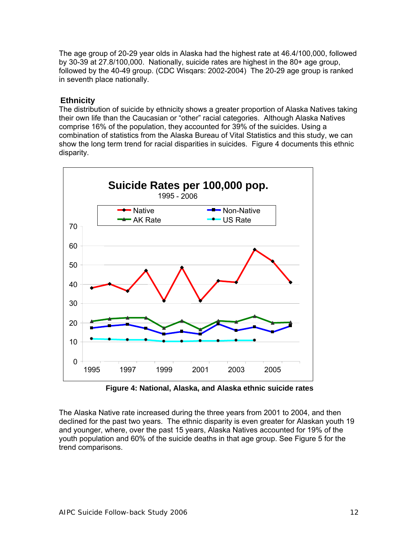The age group of 20-29 year olds in Alaska had the highest rate at 46.4/100,000, followed by 30-39 at 27.8/100,000. Nationally, suicide rates are highest in the 80+ age group, followed by the 40-49 group. (CDC Wisqars: 2002-2004) The 20-29 age group is ranked in seventh place nationally.

#### **Ethnicity**

The distribution of suicide by ethnicity shows a greater proportion of Alaska Natives taking their own life than the Caucasian or "other" racial categories. Although Alaska Natives comprise 16% of the population, they accounted for 39% of the suicides. Using a combination of statistics from the Alaska Bureau of Vital Statistics and this study, we can show the long term trend for racial disparities in suicides. Figure 4 documents this ethnic disparity.



**Figure 4: National, Alaska, and Alaska ethnic suicide rates** 

The Alaska Native rate increased during the three years from 2001 to 2004, and then declined for the past two years. The ethnic disparity is even greater for Alaskan youth 19 and younger, where, over the past 15 years, Alaska Natives accounted for 19% of the youth population and 60% of the suicide deaths in that age group. See Figure 5 for the trend comparisons.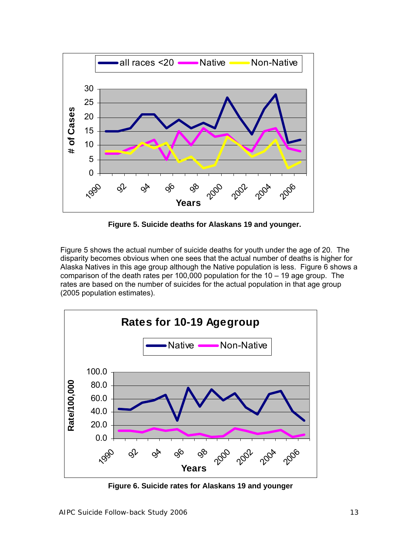

 **Figure 5. Suicide deaths for Alaskans 19 and younger.** 

Figure 5 shows the actual number of suicide deaths for youth under the age of 20. The disparity becomes obvious when one sees that the actual number of deaths is higher for Alaska Natives in this age group although the Native population is less. Figure 6 shows a comparison of the death rates per 100,000 population for the 10 – 19 age group. The rates are based on the number of suicides for the actual population in that age group (2005 population estimates).



**Figure 6. Suicide rates for Alaskans 19 and younger**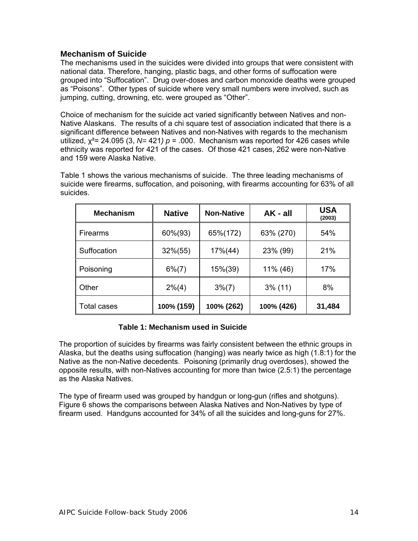#### **Mechanism of Suicide**

The mechanisms used in the suicides were divided into groups that were consistent with national data. Therefore, hanging, plastic bags, and other forms of suffocation were grouped into "Suffocation". Drug over-doses and carbon monoxide deaths were grouped as "Poisons". Other types of suicide where very small numbers were involved, such as jumping, cutting, drowning, etc. were grouped as "Other".

Choice of mechanism for the suicide act varied significantly between Natives and non-Native Alaskans.The results of a chi square test of association indicated that there is a significant difference between Natives and non-Natives with regards to the mechanism utilized,  $\chi^2$ = 24.095 (3, N= 421) p = .000. Mechanism was reported for 426 cases while ethnicity was reported for 421 of the cases. Of those 421 cases, 262 were non-Native and 159 were Alaska Native.

Table 1 shows the various mechanisms of suicide. The three leading mechanisms of suicide were firearms, suffocation, and poisoning, with firearms accounting for 63% of all suicides.

| <b>Mechanism</b> | <b>Native</b> | <b>Non-Native</b> | $AK - all$ | <b>USA</b><br>(2003) |
|------------------|---------------|-------------------|------------|----------------------|
| ∥ Firearms       | 60%(93)       | 65%(172)          | 63% (270)  | 54%                  |
| Suffocation      | $32\%(55)$    | $17\%(44)$        | 23% (99)   | 21%                  |
| Poisoning        | $6\%(7)$      | 15%(39)           | 11% (46)   | 17%                  |
| ll Other         | $2\%$ (4)     | $3\%(7)$          | $3\%$ (11) | 8%                   |
| ∥ Total cases    | 100% (159)    | 100% (262)        | 100% (426) | 31,484               |

#### **Table 1: Mechanism used in Suicide**

The proportion of suicides by firearms was fairly consistent between the ethnic groups in Alaska, but the deaths using suffocation (hanging) was nearly twice as high (1.8:1) for the Native as the non-Native decedents. Poisoning (primarily drug overdoses), showed the opposite results, with non-Natives accounting for more than twice (2.5:1) the percentage as the Alaska Natives.

The type of firearm used was grouped by handgun or long-gun (rifles and shotguns). Figure 6 shows the comparisons between Alaska Natives and Non-Natives by type of firearm used. Handguns accounted for 34% of all the suicides and long-guns for 27%.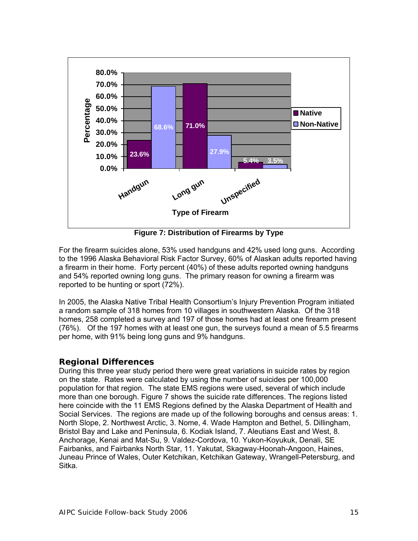

**Figure 7: Distribution of Firearms by Type** 

For the firearm suicides alone, 53% used handguns and 42% used long guns. According to the 1996 Alaska Behavioral Risk Factor Survey, 60% of Alaskan adults reported having a firearm in their home. Forty percent (40%) of these adults reported owning handguns and 54% reported owning long guns. The primary reason for owning a firearm was reported to be hunting or sport (72%).

In 2005, the Alaska Native Tribal Health Consortium's Injury Prevention Program initiated a random sample of 318 homes from 10 villages in southwestern Alaska. Of the 318 homes, 258 completed a survey and 197 of those homes had at least one firearm present (76%). Of the 197 homes with at least one gun, the surveys found a mean of 5.5 firearms per home, with 91% being long guns and 9% handguns.

#### **Regional Differences**

During this three year study period there were great variations in suicide rates by region on the state. Rates were calculated by using the number of suicides per 100,000 population for that region. The state EMS regions were used, several of which include more than one borough. Figure 7 shows the suicide rate differences. The regions listed here coincide with the 11 EMS Regions defined by the Alaska Department of Health and Social Services. The regions are made up of the following boroughs and census areas: 1. North Slope, 2. Northwest Arctic, 3. Nome, 4. Wade Hampton and Bethel, 5. Dillingham, Bristol Bay and Lake and Peninsula, 6. Kodiak Island, 7. Aleutians East and West, 8. Anchorage, Kenai and Mat-Su, 9. Valdez-Cordova, 10. Yukon-Koyukuk, Denali, SE Fairbanks, and Fairbanks North Star, 11. Yakutat, Skagway-Hoonah-Angoon, Haines, Juneau Prince of Wales, Outer Ketchikan, Ketchikan Gateway, Wrangell-Petersburg, and Sitka.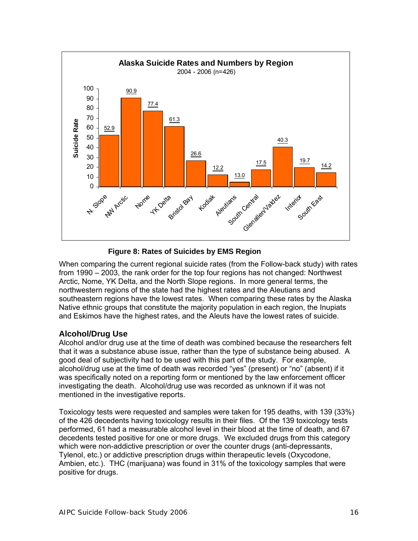

#### **Figure 8: Rates of Suicides by EMS Region**

When comparing the current regional suicide rates (from the Follow-back study) with rates from 1990 – 2003, the rank order for the top four regions has not changed: Northwest Arctic, Nome, YK Delta, and the North Slope regions. In more general terms, the northwestern regions of the state had the highest rates and the Aleutians and southeastern regions have the lowest rates. When comparing these rates by the Alaska Native ethnic groups that constitute the majority population in each region, the Inupiats and Eskimos have the highest rates, and the Aleuts have the lowest rates of suicide.

#### **Alcohol/Drug Use**

Alcohol and/or drug use at the time of death was combined because the researchers felt that it was a substance abuse issue, rather than the type of substance being abused. A good deal of subjectivity had to be used with this part of the study. For example, alcohol/drug use at the time of death was recorded "yes" (present) or "no" (absent) if it was specifically noted on a reporting form or mentioned by the law enforcement officer investigating the death. Alcohol/drug use was recorded as unknown if it was not mentioned in the investigative reports.

Toxicology tests were requested and samples were taken for 195 deaths, with 139 (33%) of the 426 decedents having toxicology results in their files. Of the 139 toxicology tests performed, 61 had a measurable alcohol level in their blood at the time of death, and 67 decedents tested positive for one or more drugs. We excluded drugs from this category which were non-addictive prescription or over the counter drugs (anti-depressants, Tylenol, etc.) or addictive prescription drugs within therapeutic levels (Oxycodone, Ambien, etc.). THC (marijuana) was found in 31% of the toxicology samples that were positive for drugs.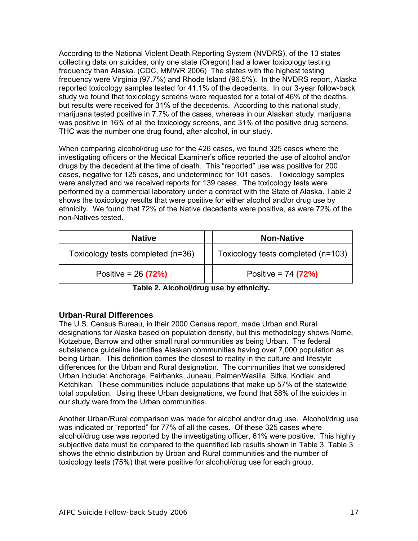According to the National Violent Death Reporting System (NVDRS), of the 13 states collecting data on suicides, only one state (Oregon) had a lower toxicology testing frequency than Alaska. (CDC, MMWR 2006) The states with the highest testing frequency were Virginia (97.7%) and Rhode Island (96.5%). In the NVDRS report, Alaska reported toxicology samples tested for 41.1% of the decedents. In our 3-year follow-back study we found that toxicology screens were requested for a total of 46% of the deaths, but results were received for 31% of the decedents. According to this national study, marijuana tested positive in 7.7% of the cases, whereas in our Alaskan study, marijuana was positive in 16% of all the toxicology screens, and 31% of the positive drug screens. THC was the number one drug found, after alcohol, in our study.

When comparing alcohol/drug use for the 426 cases, we found 325 cases where the investigating officers or the Medical Examiner's office reported the use of alcohol and/or drugs by the decedent at the time of death. This "reported" use was positive for 200 cases, negative for 125 cases, and undetermined for 101 cases. Toxicology samples were analyzed and we received reports for 139 cases. The toxicology tests were performed by a commercial laboratory under a contract with the State of Alaska. Table 2 shows the toxicology results that were positive for either alcohol and/or drug use by ethnicity. We found that 72% of the Native decedents were positive, as were 72% of the non-Natives tested.

| <b>Native</b>                     | <b>Non-Native</b>                  |
|-----------------------------------|------------------------------------|
| Toxicology tests completed (n=36) | Toxicology tests completed (n=103) |
| Positive = $26(72%)$              | Positive = $74$ (72%)              |

| Table 2. Alcohol/drug use by ethnicity. |  |
|-----------------------------------------|--|
|-----------------------------------------|--|

#### **Urban-Rural Differences**

The U.S. Census Bureau, in their 2000 Census report, made Urban and Rural designations for Alaska based on population density, but this methodology shows Nome, Kotzebue, Barrow and other small rural communities as being Urban. The federal subsistence guideline identifies Alaskan communities having over 7,000 population as being Urban. This definition comes the closest to reality in the culture and lifestyle differences for the Urban and Rural designation. The communities that we considered Urban include: Anchorage, Fairbanks, Juneau, Palmer/Wasilla, Sitka, Kodiak, and Ketchikan. These communities include populations that make up 57% of the statewide total population. Using these Urban designations, we found that 58% of the suicides in our study were from the Urban communities.

Another Urban/Rural comparison was made for alcohol and/or drug use. Alcohol/drug use was indicated or "reported" for 77% of all the cases. Of these 325 cases where alcohol/drug use was reported by the investigating officer, 61% were positive. This highly subjective data must be compared to the quantified lab results shown in Table 3. Table 3 shows the ethnic distribution by Urban and Rural communities and the number of toxicology tests (75%) that were positive for alcohol/drug use for each group.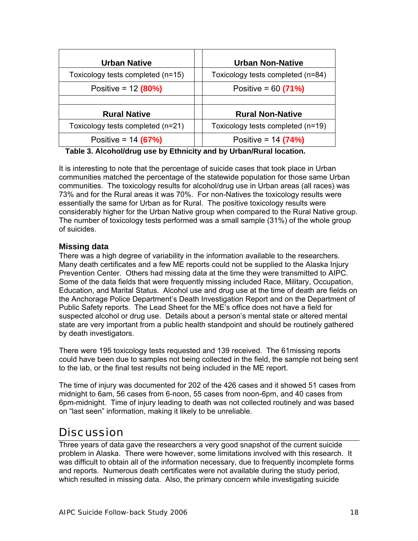| <b>Urban Native</b>               | <b>Urban Non-Native</b>           |  |
|-----------------------------------|-----------------------------------|--|
| Toxicology tests completed (n=15) | Toxicology tests completed (n=84) |  |
| Positive = $12 (80%)$             | Positive = $60(71%)$              |  |
|                                   |                                   |  |
| <b>Rural Native</b>               | <b>Rural Non-Native</b>           |  |
| Toxicology tests completed (n=21) | Toxicology tests completed (n=19) |  |
| Positive = $14 (67%)$             | Positive = $14 (74%)$             |  |

**Table 3. Alcohol/drug use by Ethnicity and by Urban/Rural location.** 

It is interesting to note that the percentage of suicide cases that took place in Urban communities matched the percentage of the statewide population for those same Urban communities. The toxicology results for alcohol/drug use in Urban areas (all races) was 73% and for the Rural areas it was 70%. For non-Natives the toxicology results were essentially the same for Urban as for Rural. The positive toxicology results were considerably higher for the Urban Native group when compared to the Rural Native group. The number of toxicology tests performed was a small sample (31%) of the whole group of suicides.

#### **Missing data**

There was a high degree of variability in the information available to the researchers. Many death certificates and a few ME reports could not be supplied to the Alaska Injury Prevention Center. Others had missing data at the time they were transmitted to AIPC. Some of the data fields that were frequently missing included Race, Military, Occupation, Education, and Marital Status. Alcohol use and drug use at the time of death are fields on the Anchorage Police Department's Death Investigation Report and on the Department of Public Safety reports. The Lead Sheet for the ME's office does not have a field for suspected alcohol or drug use. Details about a person's mental state or altered mental state are very important from a public health standpoint and should be routinely gathered by death investigators.

There were 195 toxicology tests requested and 139 received. The 61missing reports could have been due to samples not being collected in the field, the sample not being sent to the lab, or the final test results not being included in the ME report.

The time of injury was documented for 202 of the 426 cases and it showed 51 cases from midnight to 6am, 56 cases from 6-noon, 55 cases from noon-6pm, and 40 cases from 6pm-midnight. Time of injury leading to death was not collected routinely and was based on "last seen" information, making it likely to be unreliable.

## **Discussion**

Three years of data gave the researchers a very good snapshot of the current suicide problem in Alaska. There were however, some limitations involved with this research. It was difficult to obtain all of the information necessary, due to frequently incomplete forms and reports. Numerous death certificates were not available during the study period, which resulted in missing data. Also, the primary concern while investigating suicide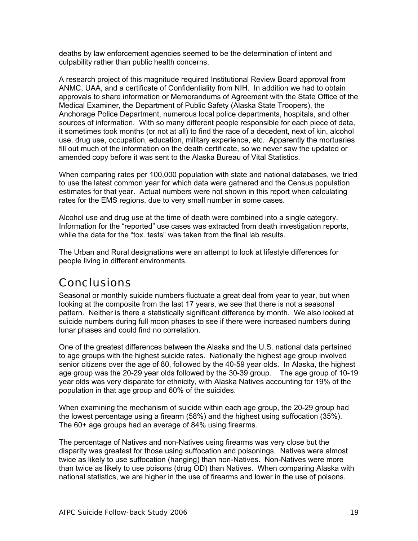deaths by law enforcement agencies seemed to be the determination of intent and culpability rather than public health concerns.

A research project of this magnitude required Institutional Review Board approval from ANMC, UAA, and a certificate of Confidentiality from NIH. In addition we had to obtain approvals to share information or Memorandums of Agreement with the State Office of the Medical Examiner, the Department of Public Safety (Alaska State Troopers), the Anchorage Police Department, numerous local police departments, hospitals, and other sources of information. With so many different people responsible for each piece of data, it sometimes took months (or not at all) to find the race of a decedent, next of kin, alcohol use, drug use, occupation, education, military experience, etc. Apparently the mortuaries fill out much of the information on the death certificate, so we never saw the updated or amended copy before it was sent to the Alaska Bureau of Vital Statistics.

When comparing rates per 100,000 population with state and national databases, we tried to use the latest common year for which data were gathered and the Census population estimates for that year. Actual numbers were not shown in this report when calculating rates for the EMS regions, due to very small number in some cases.

Alcohol use and drug use at the time of death were combined into a single category. Information for the "reported" use cases was extracted from death investigation reports, while the data for the "tox. tests" was taken from the final lab results.

The Urban and Rural designations were an attempt to look at lifestyle differences for people living in different environments.

#### **Conclusions**

Seasonal or monthly suicide numbers fluctuate a great deal from year to year, but when looking at the composite from the last 17 years, we see that there is not a seasonal pattern. Neither is there a statistically significant difference by month. We also looked at suicide numbers during full moon phases to see if there were increased numbers during lunar phases and could find no correlation.

One of the greatest differences between the Alaska and the U.S. national data pertained to age groups with the highest suicide rates. Nationally the highest age group involved senior citizens over the age of 80, followed by the 40-59 year olds. In Alaska, the highest age group was the 20-29 year olds followed by the 30-39 group. The age group of 10-19 year olds was very disparate for ethnicity, with Alaska Natives accounting for 19% of the population in that age group and 60% of the suicides.

When examining the mechanism of suicide within each age group, the 20-29 group had the lowest percentage using a firearm (58%) and the highest using suffocation (35%). The 60+ age groups had an average of 84% using firearms.

The percentage of Natives and non-Natives using firearms was very close but the disparity was greatest for those using suffocation and poisonings. Natives were almost twice as likely to use suffocation (hanging) than non-Natives. Non-Natives were more than twice as likely to use poisons (drug OD) than Natives. When comparing Alaska with national statistics, we are higher in the use of firearms and lower in the use of poisons.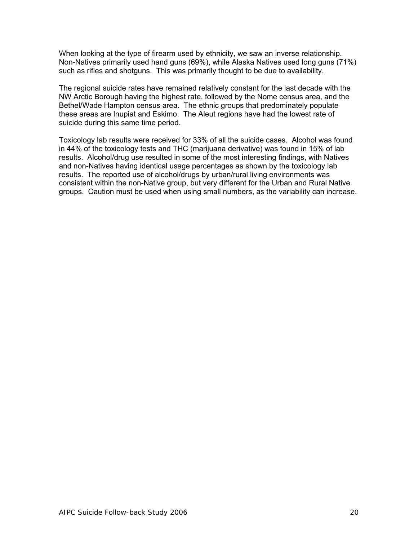When looking at the type of firearm used by ethnicity, we saw an inverse relationship. Non-Natives primarily used hand guns (69%), while Alaska Natives used long guns (71%) such as rifles and shotguns. This was primarily thought to be due to availability.

The regional suicide rates have remained relatively constant for the last decade with the NW Arctic Borough having the highest rate, followed by the Nome census area, and the Bethel/Wade Hampton census area. The ethnic groups that predominately populate these areas are Inupiat and Eskimo. The Aleut regions have had the lowest rate of suicide during this same time period.

Toxicology lab results were received for 33% of all the suicide cases. Alcohol was found in 44% of the toxicology tests and THC (marijuana derivative) was found in 15% of lab results. Alcohol/drug use resulted in some of the most interesting findings, with Natives and non-Natives having identical usage percentages as shown by the toxicology lab results. The reported use of alcohol/drugs by urban/rural living environments was consistent within the non-Native group, but very different for the Urban and Rural Native groups. Caution must be used when using small numbers, as the variability can increase.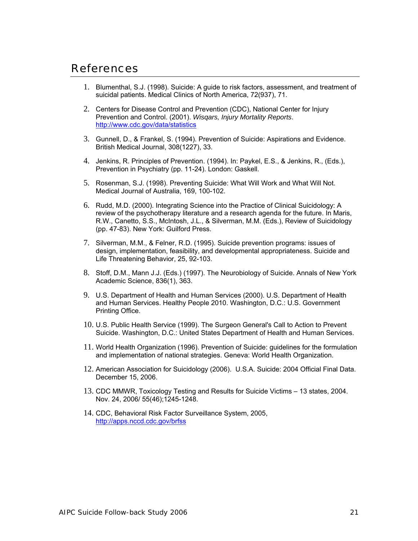#### References

- 1. Blumenthal, S.J. (1998). Suicide: A guide to risk factors, assessment, and treatment of suicidal patients. Medical Clinics of North America, 72(937), 71.
- 2. Centers for Disease Control and Prevention (CDC), National Center for Injury Prevention and Control. (2001). *Wisqars, Injury Mortality Reports*. http://www.cdc.gov/data/statistics
- 3. Gunnell, D., & Frankel, S. (1994). Prevention of Suicide: Aspirations and Evidence. British Medical Journal, 308(1227), 33.
- 4. Jenkins, R. Principles of Prevention. (1994). In: Paykel, E.S., & Jenkins, R., (Eds.), Prevention in Psychiatry (pp. 11-24). London: Gaskell.
- 5. Rosenman, S.J. (1998). Preventing Suicide: What Will Work and What Will Not. Medical Journal of Australia, 169, 100-102.
- 6. Rudd, M.D. (2000). Integrating Science into the Practice of Clinical Suicidology: A review of the psychotherapy literature and a research agenda for the future. In Maris, R.W., Canetto, S.S., McIntosh, J.L., & Silverman, M.M. (Eds.), Review of Suicidology (pp. 47-83). New York: Guilford Press.
- 7. Silverman, M.M., & Felner, R.D. (1995). Suicide prevention programs: issues of design, implementation, feasibility, and developmental appropriateness. Suicide and Life Threatening Behavior, 25, 92-103.
- 8. Stoff, D.M., Mann J.J. (Eds.) (1997). The Neurobiology of Suicide. Annals of New York Academic Science, 836(1), 363.
- 9. U.S. Department of Health and Human Services (2000). U.S. Department of Health and Human Services. Healthy People 2010. Washington, D.C.: U.S. Government Printing Office.
- 10. U.S. Public Health Service (1999). The Surgeon General's Call to Action to Prevent Suicide. Washington, D.C.: United States Department of Health and Human Services.
- 11. World Health Organization (1996). Prevention of Suicide: guidelines for the formulation and implementation of national strategies. Geneva: World Health Organization.
- 12. American Association for Suicidology (2006). U.S.A. Suicide: 2004 Official Final Data. December 15, 2006.
- 13. CDC MMWR, Toxicology Testing and Results for Suicide Victims 13 states, 2004. Nov. 24, 2006/ 55(46);1245-1248.
- 14. CDC, Behavioral Risk Factor Surveillance System, 2005, http://apps.nccd.cdc.gov/brfss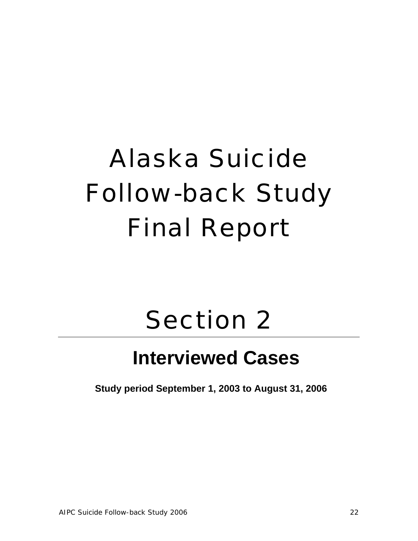# Alaska Suicide Follow-back Study Final Report

## Section 2

## **Interviewed Cases**

**Study period September 1, 2003 to August 31, 2006**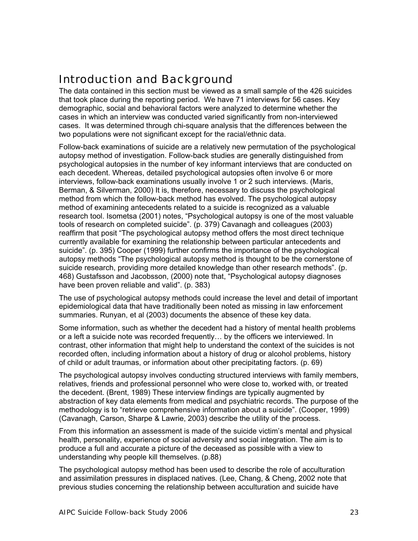### Introduction and Background

The data contained in this section must be viewed as a small sample of the 426 suicides that took place during the reporting period. We have 71 interviews for 56 cases. Key demographic, social and behavioral factors were analyzed to determine whether the cases in which an interview was conducted varied significantly from non-interviewed cases. It was determined through chi-square analysis that the differences between the two populations were not significant except for the racial/ethnic data.

Follow-back examinations of suicide are a relatively new permutation of the psychological autopsy method of investigation. Follow-back studies are generally distinguished from psychological autopsies in the number of key informant interviews that are conducted on each decedent. Whereas, detailed psychological autopsies often involve 6 or more interviews, follow-back examinations usually involve 1 or 2 such interviews. (Maris, Berman, & Silverman, 2000) It is, therefore, necessary to discuss the psychological method from which the follow-back method has evolved. The psychological autopsy method of examining antecedents related to a suicide is recognized as a valuable research tool. Isometsa (2001) notes, "Psychological autopsy is one of the most valuable tools of research on completed suicide". (p. 379) Cavanagh and colleagues (2003) reaffirm that posit "The psychological autopsy method offers the most direct technique currently available for examining the relationship between particular antecedents and suicide". (p. 395) Cooper (1999) further confirms the importance of the psychological autopsy methods "The psychological autopsy method is thought to be the cornerstone of suicide research, providing more detailed knowledge than other research methods". (p. 468) Gustafsson and Jacobsson, (2000) note that, "Psychological autopsy diagnoses have been proven reliable and valid". (p. 383)

The use of psychological autopsy methods could increase the level and detail of important epidemiological data that have traditionally been noted as missing in law enforcement summaries. Runyan, et al (2003) documents the absence of these key data.

Some information, such as whether the decedent had a history of mental health problems or a left a suicide note was recorded frequently… by the officers we interviewed. In contrast, other information that might help to understand the context of the suicides is not recorded often, including information about a history of drug or alcohol problems, history of child or adult traumas, or information about other precipitating factors. (p. 69)

The psychological autopsy involves conducting structured interviews with family members, relatives, friends and professional personnel who were close to, worked with, or treated the decedent. (Brent, 1989) These interview findings are typically augmented by abstraction of key data elements from medical and psychiatric records. The purpose of the methodology is to "retrieve comprehensive information about a suicide". (Cooper, 1999) (Cavanagh, Carson, Sharpe & Lawrie, 2003) describe the utility of the process.

From this information an assessment is made of the suicide victim's mental and physical health, personality, experience of social adversity and social integration. The aim is to produce a full and accurate a picture of the deceased as possible with a view to understanding why people kill themselves. (p.88)

The psychological autopsy method has been used to describe the role of acculturation and assimilation pressures in displaced natives. (Lee, Chang, & Cheng, 2002 note that previous studies concerning the relationship between acculturation and suicide have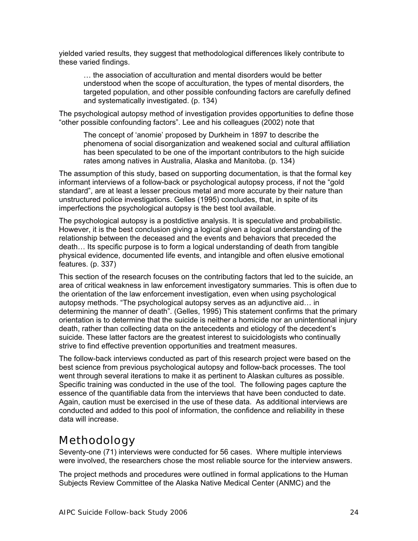yielded varied results, they suggest that methodological differences likely contribute to these varied findings.

… the association of acculturation and mental disorders would be better understood when the scope of acculturation, the types of mental disorders, the targeted population, and other possible confounding factors are carefully defined and systematically investigated. (p. 134)

The psychological autopsy method of investigation provides opportunities to define those "other possible confounding factors". Lee and his colleagues (2002) note that

The concept of 'anomie' proposed by Durkheim in 1897 to describe the phenomena of social disorganization and weakened social and cultural affiliation has been speculated to be one of the important contributors to the high suicide rates among natives in Australia, Alaska and Manitoba. (p. 134)

The assumption of this study, based on supporting documentation, is that the formal key informant interviews of a follow-back or psychological autopsy process, if not the "gold standard", are at least a lesser precious metal and more accurate by their nature than unstructured police investigations. Gelles (1995) concludes, that, in spite of its imperfections the psychological autopsy is the best tool available.

The psychological autopsy is a postdictive analysis. It is speculative and probabilistic. However, it is the best conclusion giving a logical given a logical understanding of the relationship between the deceased and the events and behaviors that preceded the death… Its specific purpose is to form a logical understanding of death from tangible physical evidence, documented life events, and intangible and often elusive emotional features. (p. 337)

This section of the research focuses on the contributing factors that led to the suicide, an area of critical weakness in law enforcement investigatory summaries. This is often due to the orientation of the law enforcement investigation, even when using psychological autopsy methods. "The psychological autopsy serves as an adjunctive aid… in determining the manner of death". (Gelles, 1995) This statement confirms that the primary orientation is to determine that the suicide is neither a homicide nor an unintentional injury death, rather than collecting data on the antecedents and etiology of the decedent's suicide. These latter factors are the greatest interest to suicidologists who continually strive to find effective prevention opportunities and treatment measures.

The follow-back interviews conducted as part of this research project were based on the best science from previous psychological autopsy and follow-back processes. The tool went through several iterations to make it as pertinent to Alaskan cultures as possible. Specific training was conducted in the use of the tool. The following pages capture the essence of the quantifiable data from the interviews that have been conducted to date. Again, caution must be exercised in the use of these data. As additional interviews are conducted and added to this pool of information, the confidence and reliability in these data will increase.

#### Methodology

Seventy-one (71) interviews were conducted for 56 cases. Where multiple interviews were involved, the researchers chose the most reliable source for the interview answers.

The project methods and procedures were outlined in formal applications to the Human Subjects Review Committee of the Alaska Native Medical Center (ANMC) and the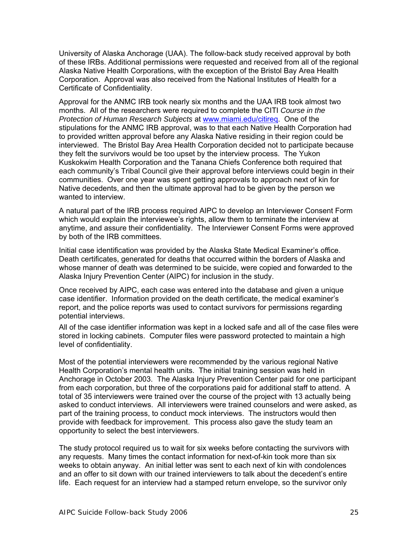University of Alaska Anchorage (UAA). The follow-back study received approval by both of these IRBs. Additional permissions were requested and received from all of the regional Alaska Native Health Corporations, with the exception of the Bristol Bay Area Health Corporation. Approval was also received from the National Institutes of Health for a Certificate of Confidentiality.

Approval for the ANMC IRB took nearly six months and the UAA IRB took almost two months. All of the researchers were required to complete the CITI *Course in the Protection of Human Research Subjects* at www.miami.edu/citireq. One of the stipulations for the ANMC IRB approval, was to that each Native Health Corporation had to provided written approval before any Alaska Native residing in their region could be interviewed. The Bristol Bay Area Health Corporation decided not to participate because they felt the survivors would be too upset by the interview process. The Yukon Kuskokwim Health Corporation and the Tanana Chiefs Conference both required that each community's Tribal Council give their approval before interviews could begin in their communities. Over one year was spent getting approvals to approach next of kin for Native decedents, and then the ultimate approval had to be given by the person we wanted to interview.

A natural part of the IRB process required AIPC to develop an Interviewer Consent Form which would explain the interviewee's rights, allow them to terminate the interview at anytime, and assure their confidentiality. The Interviewer Consent Forms were approved by both of the IRB committees.

Initial case identification was provided by the Alaska State Medical Examiner's office. Death certificates, generated for deaths that occurred within the borders of Alaska and whose manner of death was determined to be suicide, were copied and forwarded to the Alaska Injury Prevention Center (AIPC) for inclusion in the study.

Once received by AIPC, each case was entered into the database and given a unique case identifier. Information provided on the death certificate, the medical examiner's report, and the police reports was used to contact survivors for permissions regarding potential interviews.

All of the case identifier information was kept in a locked safe and all of the case files were stored in locking cabinets. Computer files were password protected to maintain a high level of confidentiality.

Most of the potential interviewers were recommended by the various regional Native Health Corporation's mental health units. The initial training session was held in Anchorage in October 2003. The Alaska Injury Prevention Center paid for one participant from each corporation, but three of the corporations paid for additional staff to attend. A total of 35 interviewers were trained over the course of the project with 13 actually being asked to conduct interviews. All interviewers were trained counselors and were asked, as part of the training process, to conduct mock interviews. The instructors would then provide with feedback for improvement. This process also gave the study team an opportunity to select the best interviewers.

The study protocol required us to wait for six weeks before contacting the survivors with any requests. Many times the contact information for next-of-kin took more than six weeks to obtain anyway. An initial letter was sent to each next of kin with condolences and an offer to sit down with our trained interviewers to talk about the decedent's entire life. Each request for an interview had a stamped return envelope, so the survivor only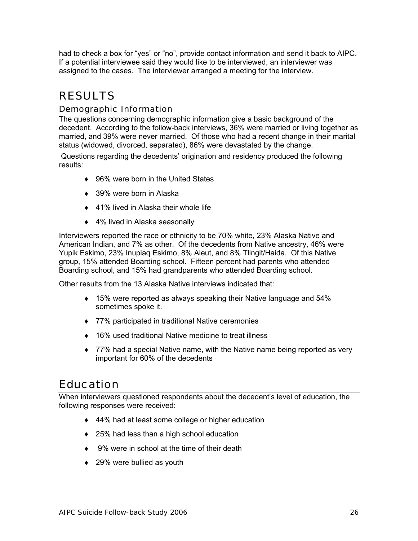had to check a box for "yes" or "no", provide contact information and send it back to AIPC. If a potential interviewee said they would like to be interviewed, an interviewer was assigned to the cases. The interviewer arranged a meeting for the interview.

## RESULTS

#### Demographic Information

The questions concerning demographic information give a basic background of the decedent. According to the follow-back interviews, 36% were married or living together as married, and 39% were never married. Of those who had a recent change in their marital status (widowed, divorced, separated), 86% were devastated by the change.

 Questions regarding the decedents' origination and residency produced the following results:

- ♦ 96% were born in the United States
- $\triangle$  39% were born in Alaska
- ♦ 41% lived in Alaska their whole life
- ◆ 4% lived in Alaska seasonally

Interviewers reported the race or ethnicity to be 70% white, 23% Alaska Native and American Indian, and 7% as other. Of the decedents from Native ancestry, 46% were Yupik Eskimo, 23% Inupiaq Eskimo, 8% Aleut, and 8% Tlingit/Haida. Of this Native group, 15% attended Boarding school. Fifteen percent had parents who attended Boarding school, and 15% had grandparents who attended Boarding school.

Other results from the 13 Alaska Native interviews indicated that:

- $\bullet$  15% were reported as always speaking their Native language and 54% sometimes spoke it.
- ♦ 77% participated in traditional Native ceremonies
- ♦ 16% used traditional Native medicine to treat illness
- ♦ 77% had a special Native name, with the Native name being reported as very important for 60% of the decedents

#### Education

When interviewers questioned respondents about the decedent's level of education, the following responses were received:

- ♦ 44% had at least some college or higher education
- ♦ 25% had less than a high school education
- ♦ 9% were in school at the time of their death
- $\triangleleft$  29% were bullied as youth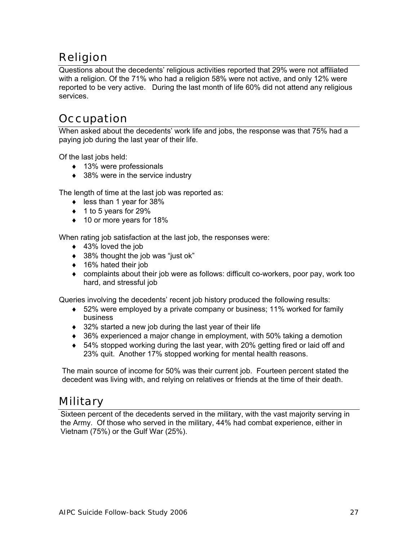## Religion

Questions about the decedents' religious activities reported that 29% were not affiliated with a religion. Of the 71% who had a religion 58% were not active, and only 12% were reported to be very active. During the last month of life 60% did not attend any religious services.

## **Occupation**

When asked about the decedents' work life and jobs, the response was that 75% had a paying job during the last year of their life.

Of the last jobs held:

- ♦ 13% were professionals
- $\triangleleft$  38% were in the service industry

The length of time at the last job was reported as:

- ♦ less than 1 year for 38%
- $\bullet$  1 to 5 years for 29%
- ♦ 10 or more years for 18%

When rating job satisfaction at the last job, the responses were:

- ◆ 43% loved the job
- ♦ 38% thought the job was "just ok"
- ◆ 16% hated their job
- ♦ complaints about their job were as follows: difficult co-workers, poor pay, work too hard, and stressful job

Queries involving the decedents' recent job history produced the following results:

- ♦ 52% were employed by a private company or business; 11% worked for family business
- ♦ 32% started a new job during the last year of their life
- ♦ 36% experienced a major change in employment, with 50% taking a demotion
- ♦ 54% stopped working during the last year, with 20% getting fired or laid off and 23% quit. Another 17% stopped working for mental health reasons.

The main source of income for 50% was their current job. Fourteen percent stated the decedent was living with, and relying on relatives or friends at the time of their death.

#### **Military**

Sixteen percent of the decedents served in the military, with the vast majority serving in the Army. Of those who served in the military, 44% had combat experience, either in Vietnam (75%) or the Gulf War (25%).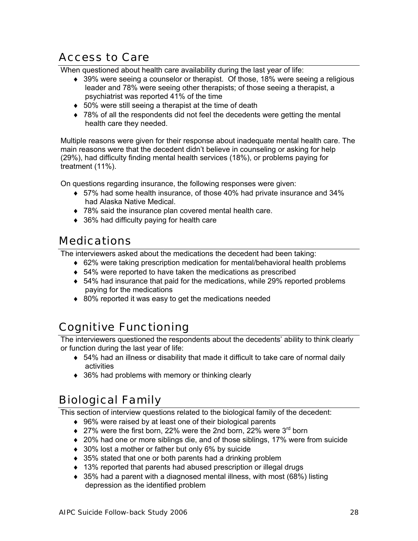## Access to Care

When questioned about health care availability during the last year of life:

- ♦ 39% were seeing a counselor or therapist. Of those, 18% were seeing a religious leader and 78% were seeing other therapists; of those seeing a therapist, a psychiatrist was reported 41% of the time
- ♦ 50% were still seeing a therapist at the time of death
- ◆ 78% of all the respondents did not feel the decedents were getting the mental health care they needed.

Multiple reasons were given for their response about inadequate mental health care. The main reasons were that the decedent didn't believe in counseling or asking for help (29%), had difficulty finding mental health services (18%), or problems paying for treatment (11%).

On questions regarding insurance, the following responses were given:

- $\bullet$  57% had some health insurance, of those 40% had private insurance and 34% had Alaska Native Medical.
- ♦ 78% said the insurance plan covered mental health care.
- ♦ 36% had difficulty paying for health care

#### Medications

The interviewers asked about the medications the decedent had been taking:

- ♦ 62% were taking prescription medication for mental/behavioral health problems
- ♦ 54% were reported to have taken the medications as prescribed
- $\bullet$  54% had insurance that paid for the medications, while 29% reported problems paying for the medications
- ♦ 80% reported it was easy to get the medications needed

#### Cognitive Functioning

The interviewers questioned the respondents about the decedents' ability to think clearly or function during the last year of life:

- $\bullet$  54% had an illness or disability that made it difficult to take care of normal daily activities
- ♦ 36% had problems with memory or thinking clearly

## Biological Family

This section of interview questions related to the biological family of the decedent:

- ♦ 96% were raised by at least one of their biological parents
- $\bullet$  27% were the first born, 22% were the 2nd born, 22% were 3<sup>rd</sup> born
- ◆ 20% had one or more siblings die, and of those siblings, 17% were from suicide
- ♦ 30% lost a mother or father but only 6% by suicide
- ◆ 35% stated that one or both parents had a drinking problem
- ♦ 13% reported that parents had abused prescription or illegal drugs
- $\bullet$  35% had a parent with a diagnosed mental illness, with most (68%) listing depression as the identified problem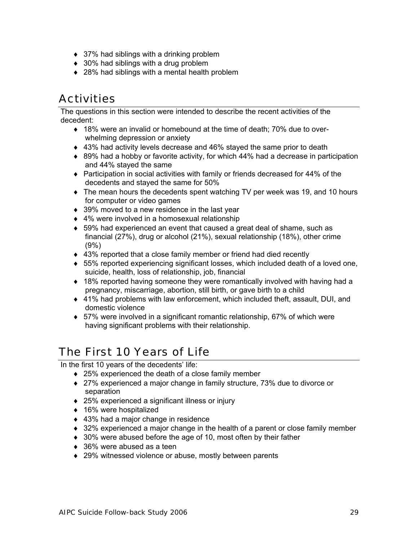- $\triangleleft$  37% had siblings with a drinking problem
- $\bullet$  30% had siblings with a drug problem
- ♦ 28% had siblings with a mental health problem

## **Activities**

The questions in this section were intended to describe the recent activities of the decedent:

- ◆ 18% were an invalid or homebound at the time of death; 70% due to overwhelming depression or anxiety
- ♦ 43% had activity levels decrease and 46% stayed the same prior to death
- $\bullet$  89% had a hobby or favorite activity, for which 44% had a decrease in participation and 44% stayed the same
- ♦ Participation in social activities with family or friends decreased for 44% of the decedents and stayed the same for 50%
- ♦ The mean hours the decedents spent watching TV per week was 19, and 10 hours for computer or video games
- ◆ 39% moved to a new residence in the last year
- ♦ 4% were involved in a homosexual relationship
- $\bullet$  59% had experienced an event that caused a great deal of shame, such as financial (27%), drug or alcohol (21%), sexual relationship (18%), other crime (9%)
- ◆ 43% reported that a close family member or friend had died recently
- $\bullet$  55% reported experiencing significant losses, which included death of a loved one, suicide, health, loss of relationship, job, financial
- ♦ 18% reported having someone they were romantically involved with having had a pregnancy, miscarriage, abortion, still birth, or gave birth to a child
- ♦ 41% had problems with law enforcement, which included theft, assault, DUI, and domestic violence
- $\bullet$  57% were involved in a significant romantic relationship, 67% of which were having significant problems with their relationship.

#### The First 10 Years of Life

In the first 10 years of the decedents' life:

- ♦ 25% experienced the death of a close family member
- ♦ 27% experienced a major change in family structure, 73% due to divorce or separation
- ♦ 25% experienced a significant illness or injury
- ◆ 16% were hospitalized
- ◆ 43% had a major change in residence
- ♦ 32% experienced a major change in the health of a parent or close family member
- ◆ 30% were abused before the age of 10, most often by their father
- ◆ 36% were abused as a teen
- ◆ 29% witnessed violence or abuse, mostly between parents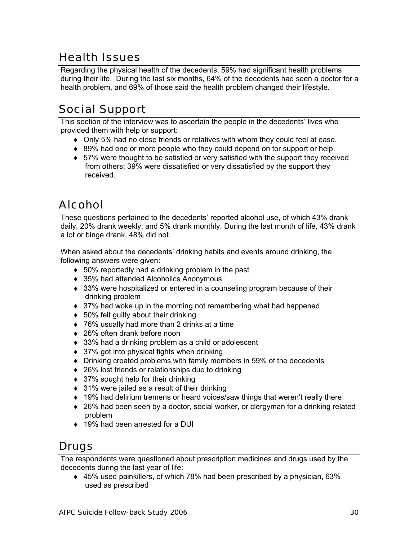## Health Issues

Regarding the physical health of the decedents, 59% had significant health problems during their life. During the last six months, 64% of the decedents had seen a doctor for a health problem, and 69% of those said the health problem changed their lifestyle.

## Social Support

This section of the interview was to ascertain the people in the decedents' lives who provided them with help or support:

- ♦ Only 5% had no close friends or relatives with whom they could feel at ease.
- ◆ 89% had one or more people who they could depend on for support or help.
- ♦ 57% were thought to be satisfied or very satisfied with the support they received from others; 39% were dissatisfied or very dissatisfied by the support they received.

## Alcohol

These questions pertained to the decedents' reported alcohol use, of which 43% drank daily, 20% drank weekly, and 5% drank monthly. During the last month of life, 43% drank a lot or binge drank, 48% did not.

When asked about the decedents' drinking habits and events around drinking, the following answers were given:

- ♦ 50% reportedly had a drinking problem in the past
- ♦ 35% had attended Alcoholics Anonymous
- 33% were hospitalized or entered in a counseling program because of their drinking problem
- ♦ 37% had woke up in the morning not remembering what had happened
- $\bullet$  50% felt guilty about their drinking
- ♦ 76% usually had more than 2 drinks at a time
- ♦ 26% often drank before noon
- ♦ 33% had a drinking problem as a child or adolescent
- $\bullet$  37% got into physical fights when drinking
- ♦ Drinking created problems with family members in 59% of the decedents
- ♦ 26% lost friends or relationships due to drinking
- ♦ 37% sought help for their drinking
- $\bullet$  31% were jailed as a result of their drinking
- ♦ 19% had delirium tremens or heard voices/saw things that weren't really there
- ◆ 26% had been seen by a doctor, social worker, or clergyman for a drinking related problem
- ♦ 19% had been arrested for a DUI

## Drugs

The respondents were questioned about prescription medicines and drugs used by the decedents during the last year of life:

♦ 45% used painkillers, of which 78% had been prescribed by a physician, 63% used as prescribed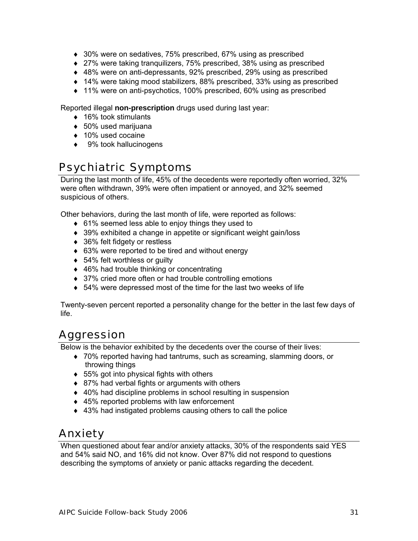- ♦ 30% were on sedatives, 75% prescribed, 67% using as prescribed
- ♦ 27% were taking tranquilizers, 75% prescribed, 38% using as prescribed
- ♦ 48% were on anti-depressants, 92% prescribed, 29% using as prescribed
- ♦ 14% were taking mood stabilizers, 88% prescribed, 33% using as prescribed
- ♦ 11% were on anti-psychotics, 100% prescribed, 60% using as prescribed

Reported illegal **non-prescription** drugs used during last year:

- ♦ 16% took stimulants
- ♦ 50% used marijuana
- ♦ 10% used cocaine
- $\triangleleft$  9% took hallucinogens

## Psychiatric Symptoms

During the last month of life, 45% of the decedents were reportedly often worried, 32% were often withdrawn, 39% were often impatient or annoyed, and 32% seemed suspicious of others.

Other behaviors, during the last month of life, were reported as follows:

- ♦ 61% seemed less able to enjoy things they used to
- ♦ 39% exhibited a change in appetite or significant weight gain/loss
- ◆ 36% felt fidgety or restless
- ♦ 63% were reported to be tired and without energy
- ◆ 54% felt worthless or guilty
- ◆ 46% had trouble thinking or concentrating
- ◆ 37% cried more often or had trouble controlling emotions
- ♦ 54% were depressed most of the time for the last two weeks of life

Twenty-seven percent reported a personality change for the better in the last few days of life.

## Aggression

Below is the behavior exhibited by the decedents over the course of their lives:

- ♦ 70% reported having had tantrums, such as screaming, slamming doors, or throwing things
- $\bullet$  55% got into physical fights with others
- ♦ 87% had verbal fights or arguments with others
- ◆ 40% had discipline problems in school resulting in suspension
- ♦ 45% reported problems with law enforcement
- ♦ 43% had instigated problems causing others to call the police

## Anxiety

When questioned about fear and/or anxiety attacks, 30% of the respondents said YES and 54% said NO, and 16% did not know. Over 87% did not respond to questions describing the symptoms of anxiety or panic attacks regarding the decedent.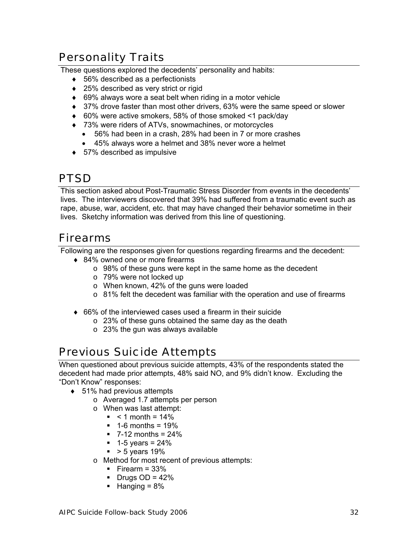## Personality Traits

These questions explored the decedents' personality and habits:

- ♦ 56% described as a perfectionists
- ♦ 25% described as very strict or rigid
- ♦ 69% always wore a seat belt when riding in a motor vehicle
- ◆ 37% drove faster than most other drivers, 63% were the same speed or slower
- ♦ 60% were active smokers, 58% of those smoked <1 pack/day
- ♦ 73% were riders of ATVs, snowmachines, or motorcycles
	- 56% had been in a crash, 28% had been in 7 or more crashes
	- 45% always wore a helmet and 38% never wore a helmet
- $\bullet$  57% described as impulsive

## **PTSD**

This section asked about Post-Traumatic Stress Disorder from events in the decedents' lives. The interviewers discovered that 39% had suffered from a traumatic event such as rape, abuse, war, accident, etc. that may have changed their behavior sometime in their lives. Sketchy information was derived from this line of questioning.

#### Firearms

Following are the responses given for questions regarding firearms and the decedent:

- ◆ 84% owned one or more firearms
	- o 98% of these guns were kept in the same home as the decedent
	- o 79% were not locked up
	- o When known, 42% of the guns were loaded
	- $\circ$  81% felt the decedent was familiar with the operation and use of firearms
- ♦ 66% of the interviewed cases used a firearm in their suicide
	- $\circ$  23% of these guns obtained the same day as the death
	- $\circ$  23% the gun was always available

#### Previous Suicide Attempts

When questioned about previous suicide attempts, 43% of the respondents stated the decedent had made prior attempts, 48% said NO, and 9% didn't know. Excluding the "Don't Know" responses:

- ♦ 51% had previous attempts
	- o Averaged 1.7 attempts per person
	- o When was last attempt:
		- $\sim 1$  month = 14%
		- $\blacksquare$  1-6 months = 19%
		- $\blacksquare$  7-12 months = 24%
		- $-1-5$  years = 24%
		- $\bullet$  > 5 years 19%
	- o Method for most recent of previous attempts:
		- $\blacksquare$  Firearm = 33%
		- $\blacksquare$  Drugs OD = 42%
		- $Hanging = 8\%$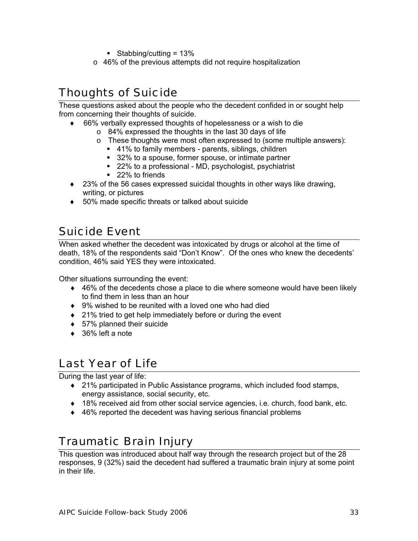- Stabbing/cutting =  $13\%$
- o 46% of the previous attempts did not require hospitalization

## Thoughts of Suicide

These questions asked about the people who the decedent confided in or sought help from concerning their thoughts of suicide.

- 66% verbally expressed thoughts of hopelessness or a wish to die
	- o 84% expressed the thoughts in the last 30 days of life
	- $\circ$  These thoughts were most often expressed to (some multiple answers):
		- 41% to family members parents, siblings, children
		- 32% to a spouse, former spouse, or intimate partner
		- 22% to a professional MD, psychologist, psychiatrist
		- 22% to friends
- ♦ 23% of the 56 cases expressed suicidal thoughts in other ways like drawing, writing, or pictures
- ♦ 50% made specific threats or talked about suicide

## Suicide Event

When asked whether the decedent was intoxicated by drugs or alcohol at the time of death, 18% of the respondents said "Don't Know". Of the ones who knew the decedents' condition, 46% said YES they were intoxicated.

Other situations surrounding the event:

- $\triangleq$  46% of the decedents chose a place to die where someone would have been likely to find them in less than an hour
- ♦ 9% wished to be reunited with a loved one who had died
- ♦ 21% tried to get help immediately before or during the event
- ♦ 57% planned their suicide
- $\bullet$  36% left a note

#### Last Year of Life

During the last year of life:

- ◆ 21% participated in Public Assistance programs, which included food stamps, energy assistance, social security, etc.
- $\bullet$  18% received aid from other social service agencies, i.e. church, food bank, etc.
- ♦ 46% reported the decedent was having serious financial problems

#### Traumatic Brain Injury

This question was introduced about half way through the research project but of the 28 responses, 9 (32%) said the decedent had suffered a traumatic brain injury at some point in their life.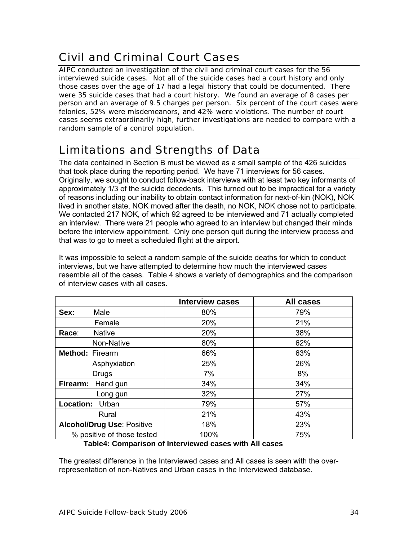## Civil and Criminal Court Cases

AIPC conducted an investigation of the civil and criminal court cases for the 56 interviewed suicide cases. Not all of the suicide cases had a court history and only those cases over the age of 17 had a legal history that could be documented. There were 35 suicide cases that had a court history. We found an average of 8 cases per person and an average of 9.5 charges per person. Six percent of the court cases were felonies, 52% were misdemeanors, and 42% were violations. The number of court cases seems extraordinarily high, further investigations are needed to compare with a random sample of a control population.

## Limitations and Strengths of Data

The data contained in Section B must be viewed as a small sample of the 426 suicides that took place during the reporting period. We have 71 interviews for 56 cases. Originally, we sought to conduct follow-back interviews with at least two key informants of approximately 1/3 of the suicide decedents. This turned out to be impractical for a variety of reasons including our inability to obtain contact information for next-of-kin (NOK), NOK lived in another state, NOK moved after the death, no NOK, NOK chose not to participate. We contacted 217 NOK, of which 92 agreed to be interviewed and 71 actually completed an interview. There were 21 people who agreed to an interview but changed their minds before the interview appointment. Only one person quit during the interview process and that was to go to meet a scheduled flight at the airport.

It was impossible to select a random sample of the suicide deaths for which to conduct interviews, but we have attempted to determine how much the interviewed cases resemble all of the cases. Table 4 shows a variety of demographics and the comparison of interview cases with all cases.

|                                   | <b>Interview cases</b> | <b>All cases</b> |
|-----------------------------------|------------------------|------------------|
| Sex:<br>Male                      | 80%                    | 79%              |
| Female                            | 20%                    | 21%              |
| <b>Native</b><br>Race:            | 20%                    | 38%              |
| Non-Native                        | 80%                    | 62%              |
| Method: Firearm                   | 66%                    | 63%              |
| Asphyxiation                      | 25%                    | 26%              |
| <b>Drugs</b>                      | 7%                     | 8%               |
| Firearm:<br>Hand gun              | 34%                    | 34%              |
| Long gun                          | 32%                    | 27%              |
| <b>Location:</b><br>Urban         | 79%                    | 57%              |
| Rural                             | 21%                    | 43%              |
| <b>Alcohol/Drug Use: Positive</b> | 18%                    | 23%              |
| % positive of those tested        | 100%                   | 75%              |

#### **Table4: Comparison of Interviewed cases with All cases**

The greatest difference in the Interviewed cases and All cases is seen with the overrepresentation of non-Natives and Urban cases in the Interviewed database.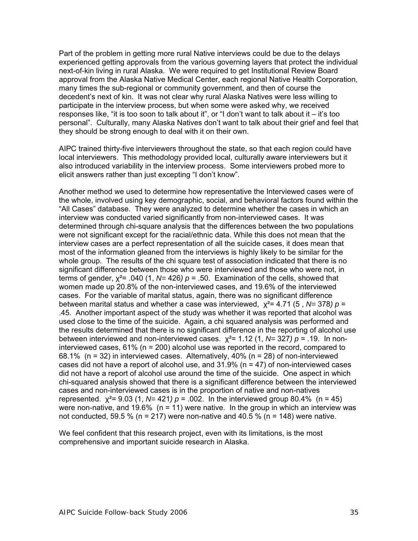Part of the problem in getting more rural Native interviews could be due to the delays experienced getting approvals from the various governing layers that protect the individual next-of-kin living in rural Alaska. We were required to get Institutional Review Board approval from the Alaska Native Medical Center, each regional Native Health Corporation, many times the sub-regional or community government, and then of course the decedent's next of kin. It was not clear why rural Alaska Natives were less willing to participate in the interview process, but when some were asked why, we received responses like, "it is too soon to talk about it", or "I don't want to talk about it – it's too personal". Culturally, many Alaska Natives don't want to talk about their grief and feel that they should be strong enough to deal with it on their own.

AIPC trained thirty-five interviewers throughout the state, so that each region could have local interviewers. This methodology provided local, culturally aware interviewers but it also introduced variability in the interview process. Some interviewers probed more to elicit answers rather than just excepting "I don't know".

Another method we used to determine how representative the Interviewed cases were of the whole, involved using key demographic, social, and behavioral factors found within the "All Cases" database. They were analyzed to determine whether the cases in which an interview was conducted varied significantly from non-interviewed cases. It was determined through chi-square analysis that the differences between the two populations were not significant except for the racial/ethnic data. While this does not mean that the interview cases are a perfect representation of all the suicide cases, it does mean that most of the information gleaned from the interviews is highly likely to be similar for the whole group. The results of the chi square test of association indicated that there is no significant difference between those who were interviewed and those who were not, in terms of gender,  $\chi^2$ = .040 (1,  $N$ = 426)  $p$  = .50. Examination of the cells, showed that women made up 20.8% of the non-interviewed cases, and 19.6% of the interviewed cases. For the variable of marital status, again, there was no significant difference between marital status and whether a case was interviewed, χ²= 4.71 (5 , *N=* 378*) p* = .45. Another important aspect of the study was whether it was reported that alcohol was used close to the time of the suicide. Again, a chi squared analysis was performed and the results determined that there is no significant difference in the reporting of alcohol use between interviewed and non-interviewed cases. χ²= 1.12 (1, *N=* 327*) p* = .19. In noninterviewed cases, 61% (n = 200) alcohol use was reported in the record, compared to 68.1% (n = 32) in interviewed cases. Alternatively, 40% (n = 28) of non-interviewed cases did not have a report of alcohol use, and  $31.9\%$  (n = 47) of non-interviewed cases did not have a report of alcohol use around the time of the suicide. One aspect in which chi-squared analysis showed that there is a significant difference between the interviewed cases and non-interviewed cases is in the proportion of native and non-natives represented. χ²= 9.03 (1, *N=* 421*) p* = .002. In the interviewed group 80.4% (n = 45) were non-native, and 19.6% ( $n = 11$ ) were native. In the group in which an interview was not conducted, 59.5 % ( $n = 217$ ) were non-native and 40.5 % ( $n = 148$ ) were native.

We feel confident that this research project, even with its limitations, is the most comprehensive and important suicide research in Alaska.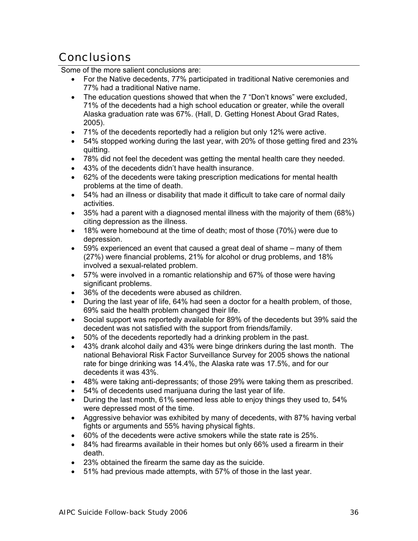## **Conclusions**

Some of the more salient conclusions are:

- For the Native decedents, 77% participated in traditional Native ceremonies and 77% had a traditional Native name.
- The education questions showed that when the 7 "Don't knows" were excluded, 71% of the decedents had a high school education or greater, while the overall Alaska graduation rate was 67%. (Hall, D. Getting Honest About Grad Rates, 2005).
- 71% of the decedents reportedly had a religion but only 12% were active.
- 54% stopped working during the last year, with 20% of those getting fired and 23% quitting.
- 78% did not feel the decedent was getting the mental health care they needed.
- 43% of the decedents didn't have health insurance.
- 62% of the decedents were taking prescription medications for mental health problems at the time of death.
- 54% had an illness or disability that made it difficult to take care of normal daily activities.
- 35% had a parent with a diagnosed mental illness with the majority of them (68%) citing depression as the illness.
- 18% were homebound at the time of death; most of those (70%) were due to depression.
- 59% experienced an event that caused a great deal of shame many of them (27%) were financial problems, 21% for alcohol or drug problems, and 18% involved a sexual-related problem.
- 57% were involved in a romantic relationship and 67% of those were having significant problems.
- 36% of the decedents were abused as children.
- During the last year of life, 64% had seen a doctor for a health problem, of those, 69% said the health problem changed their life.
- Social support was reportedly available for 89% of the decedents but 39% said the decedent was not satisfied with the support from friends/family.
- 50% of the decedents reportedly had a drinking problem in the past.
- 43% drank alcohol daily and 43% were binge drinkers during the last month. The national Behavioral Risk Factor Surveillance Survey for 2005 shows the national rate for binge drinking was 14.4%, the Alaska rate was 17.5%, and for our decedents it was 43%.
- 48% were taking anti-depressants; of those 29% were taking them as prescribed.
- 54% of decedents used marijuana during the last year of life.
- During the last month, 61% seemed less able to enjoy things they used to, 54% were depressed most of the time.
- Aggressive behavior was exhibited by many of decedents, with 87% having verbal fights or arguments and 55% having physical fights.
- 60% of the decedents were active smokers while the state rate is 25%.
- 84% had firearms available in their homes but only 66% used a firearm in their death.
- 23% obtained the firearm the same day as the suicide.
- 51% had previous made attempts, with 57% of those in the last year.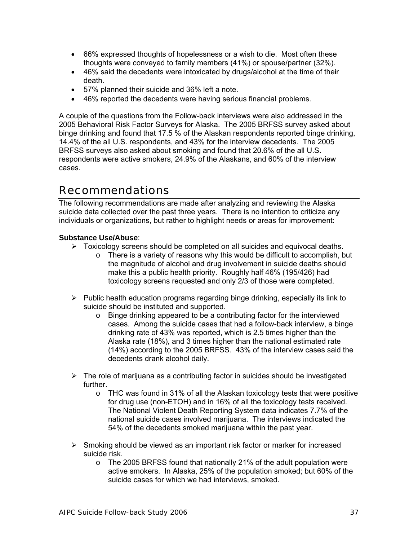- 66% expressed thoughts of hopelessness or a wish to die. Most often these thoughts were conveyed to family members (41%) or spouse/partner (32%).
- 46% said the decedents were intoxicated by drugs/alcohol at the time of their death.
- 57% planned their suicide and 36% left a note.
- 46% reported the decedents were having serious financial problems.

A couple of the questions from the Follow-back interviews were also addressed in the 2005 Behavioral Risk Factor Surveys for Alaska. The 2005 BRFSS survey asked about binge drinking and found that 17.5 % of the Alaskan respondents reported binge drinking, 14.4% of the all U.S. respondents, and 43% for the interview decedents. The 2005 BRFSS surveys also asked about smoking and found that 20.6% of the all U.S. respondents were active smokers, 24.9% of the Alaskans, and 60% of the interview cases.

### Recommendations

The following recommendations are made after analyzing and reviewing the Alaska suicide data collected over the past three years. There is no intention to criticize any individuals or organizations, but rather to highlight needs or areas for improvement:

#### **Substance Use/Abuse**:

- $\triangleright$  Toxicology screens should be completed on all suicides and equivocal deaths.
	- $\circ$  There is a variety of reasons why this would be difficult to accomplish, but the magnitude of alcohol and drug involvement in suicide deaths should make this a public health priority. Roughly half 46% (195/426) had toxicology screens requested and only 2/3 of those were completed.
- $\triangleright$  Public health education programs regarding binge drinking, especially its link to suicide should be instituted and supported.
	- o Binge drinking appeared to be a contributing factor for the interviewed cases. Among the suicide cases that had a follow-back interview, a binge drinking rate of 43% was reported, which is 2.5 times higher than the Alaska rate (18%), and 3 times higher than the national estimated rate (14%) according to the 2005 BRFSS. 43% of the interview cases said the decedents drank alcohol daily.
- $\triangleright$  The role of marijuana as a contributing factor in suicides should be investigated further.
	- o THC was found in 31% of all the Alaskan toxicology tests that were positive for drug use (non-ETOH) and in 16% of all the toxicology tests received. The National Violent Death Reporting System data indicates 7.7% of the national suicide cases involved marijuana. The interviews indicated the 54% of the decedents smoked marijuana within the past year.
- $\triangleright$  Smoking should be viewed as an important risk factor or marker for increased suicide risk.
	- o The 2005 BRFSS found that nationally 21% of the adult population were active smokers. In Alaska, 25% of the population smoked; but 60% of the suicide cases for which we had interviews, smoked.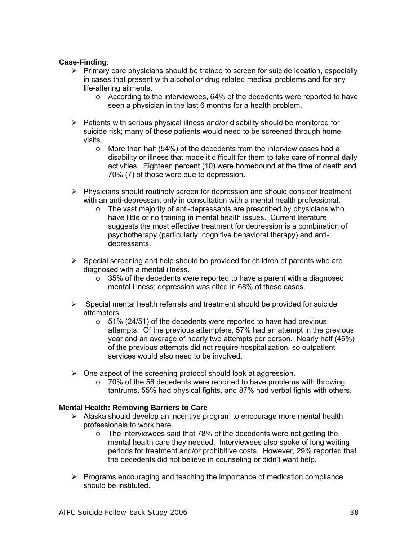#### **Case-Finding**:

- $\triangleright$  Primary care physicians should be trained to screen for suicide ideation, especially in cases that present with alcohol or drug related medical problems and for any life-altering ailments.
	- $\circ$  According to the interviewees, 64% of the decedents were reported to have seen a physician in the last 6 months for a health problem.
- $\triangleright$  Patients with serious physical illness and/or disability should be monitored for suicide risk; many of these patients would need to be screened through home visits.
	- o More than half (54%) of the decedents from the interview cases had a disability or illness that made it difficult for them to take care of normal daily activities. Eighteen percent (10) were homebound at the time of death and 70% (7) of those were due to depression.
- ¾ Physicians should routinely screen for depression and should consider treatment with an anti-depressant only in consultation with a mental health professional.
	- o The vast majority of anti-depressants are prescribed by physicians who have little or no training in mental health issues. Current literature suggests the most effective treatment for depression is a combination of psychotherapy (particularly, cognitive behavioral therapy) and antidepressants.
- $\triangleright$  Special screening and help should be provided for children of parents who are diagnosed with a mental illness.
	- $\circ$  35% of the decedents were reported to have a parent with a diagnosed mental illness; depression was cited in 68% of these cases.
- $\triangleright$  Special mental health referrals and treatment should be provided for suicide attempters.
	- o 51% (24/51) of the decedents were reported to have had previous attempts. Of the previous attempters, 57% had an attempt in the previous year and an average of nearly two attempts per person. Nearly half (46%) of the previous attempts did not require hospitalization, so outpatient services would also need to be involved.
- $\triangleright$  One aspect of the screening protocol should look at aggression.
	- o 70% of the 56 decedents were reported to have problems with throwing tantrums, 55% had physical fights, and 87% had verbal fights with others.

#### **Mental Health: Removing Barriers to Care**

- $\triangleright$  Alaska should develop an incentive program to encourage more mental health professionals to work here.
	- $\circ$  The interviewees said that 78% of the decedents were not getting the mental health care they needed. Interviewees also spoke of long waiting periods for treatment and/or prohibitive costs. However, 29% reported that the decedents did not believe in counseling or didn't want help.
- $\triangleright$  Programs encouraging and teaching the importance of medication compliance should be instituted.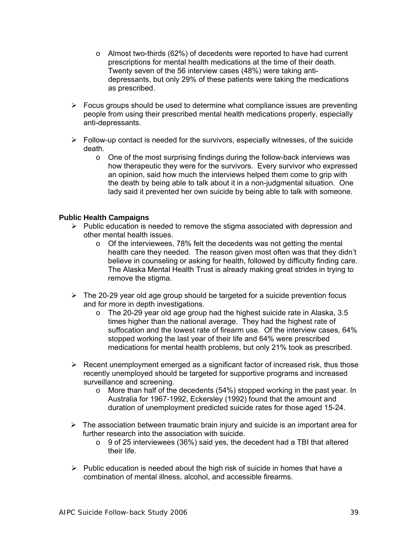- $\circ$  Almost two-thirds (62%) of decedents were reported to have had current prescriptions for mental health medications at the time of their death. Twenty seven of the 56 interview cases (48%) were taking antidepressants, but only 29% of these patients were taking the medications as prescribed.
- $\triangleright$  Focus groups should be used to determine what compliance issues are preventing people from using their prescribed mental health medications properly, especially anti-depressants.
- $\triangleright$  Follow-up contact is needed for the survivors, especially witnesses, of the suicide death.
	- o One of the most surprising findings during the follow-back interviews was how therapeutic they were for the survivors. Every survivor who expressed an opinion, said how much the interviews helped them come to grip with the death by being able to talk about it in a non-judgmental situation. One lady said it prevented her own suicide by being able to talk with someone.

#### **Public Health Campaigns**

- $\triangleright$  Public education is needed to remove the stigma associated with depression and other mental health issues.
	- o Of the interviewees, 78% felt the decedents was not getting the mental health care they needed. The reason given most often was that they didn't believe in counseling or asking for health, followed by difficulty finding care. The Alaska Mental Health Trust is already making great strides in trying to remove the stigma.
- $\triangleright$  The 20-29 year old age group should be targeted for a suicide prevention focus and for more in depth investigations.
	- o The 20-29 year old age group had the highest suicide rate in Alaska, 3.5 times higher than the national average. They had the highest rate of suffocation and the lowest rate of firearm use. Of the interview cases, 64% stopped working the last year of their life and 64% were prescribed medications for mental health problems, but only 21% took as prescribed.
- $\triangleright$  Recent unemployment emerged as a significant factor of increased risk, thus those recently unemployed should be targeted for supportive programs and increased surveillance and screening.
	- $\circ$  More than half of the decedents (54%) stopped working in the past year. In Australia for 1967-1992, Eckersley (1992) found that the amount and duration of unemployment predicted suicide rates for those aged 15-24.
- $\triangleright$  The association between traumatic brain injury and suicide is an important area for further research into the association with suicide.
	- o 9 of 25 interviewees (36%) said yes, the decedent had a TBI that altered their life.
- $\triangleright$  Public education is needed about the high risk of suicide in homes that have a combination of mental illness, alcohol, and accessible firearms.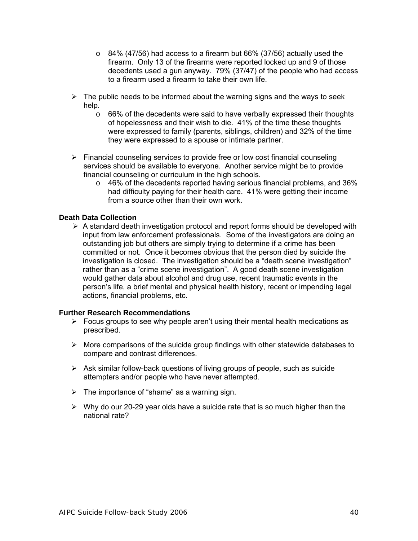- $\circ$  84% (47/56) had access to a firearm but 66% (37/56) actually used the firearm. Only 13 of the firearms were reported locked up and 9 of those decedents used a gun anyway. 79% (37/47) of the people who had access to a firearm used a firearm to take their own life.
- $\triangleright$  The public needs to be informed about the warning signs and the ways to seek help.
	- $\circ$  66% of the decedents were said to have verbally expressed their thoughts of hopelessness and their wish to die. 41% of the time these thoughts were expressed to family (parents, siblings, children) and 32% of the time they were expressed to a spouse or intimate partner.
- $\triangleright$  Financial counseling services to provide free or low cost financial counseling services should be available to everyone. Another service might be to provide financial counseling or curriculum in the high schools.
	- o 46% of the decedents reported having serious financial problems, and 36% had difficulty paying for their health care. 41% were getting their income from a source other than their own work.

#### **Death Data Collection**

 $\triangleright$  A standard death investigation protocol and report forms should be developed with input from law enforcement professionals. Some of the investigators are doing an outstanding job but others are simply trying to determine if a crime has been committed or not. Once it becomes obvious that the person died by suicide the investigation is closed. The investigation should be a "death scene investigation" rather than as a "crime scene investigation". A good death scene investigation would gather data about alcohol and drug use, recent traumatic events in the person's life, a brief mental and physical health history, recent or impending legal actions, financial problems, etc.

#### **Further Research Recommendations**

- $\triangleright$  Focus groups to see why people aren't using their mental health medications as prescribed.
- $\triangleright$  More comparisons of the suicide group findings with other statewide databases to compare and contrast differences.
- $\triangleright$  Ask similar follow-back questions of living groups of people, such as suicide attempters and/or people who have never attempted.
- $\triangleright$  The importance of "shame" as a warning sign.
- $\triangleright$  Why do our 20-29 year olds have a suicide rate that is so much higher than the national rate?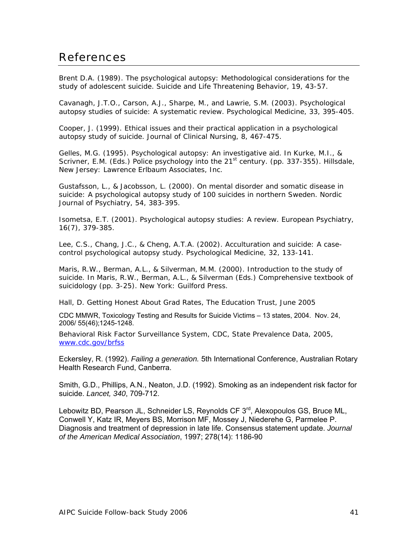#### References

Brent D.A. (1989). The psychological autopsy: Methodological considerations for the study of adolescent suicide. *Suicide and Life Threatening Behavior, 19*, 43-57.

Cavanagh, J.T.O., Carson, A.J., Sharpe, M., and Lawrie, S.M. (2003). Psychological autopsy studies of suicide: A systematic review. *Psychological Medicine, 33*, 395-405.

Cooper, J. (1999). Ethical issues and their practical application in a psychological autopsy study of suicide. *Journal of Clinical Nursing, 8*, 467-475.

Gelles, M.G. (1995). Psychological autopsy: An investigative aid. In Kurke, M.I., & Scrivner, E.M. (Eds.) *Police psychology into the 21st century.* (pp. 337-355). Hillsdale, New Jersey: Lawrence Erlbaum Associates, Inc.

Gustafsson, L., & Jacobsson, L. (2000). On mental disorder and somatic disease in suicide: A psychological autopsy study of 100 suicides in northern Sweden. *Nordic Journal of Psychiatry, 54*, 383-395.

Isometsa, E.T. (2001). Psychological autopsy studies: A review. *European Psychiatry, 16*(7), 379-385.

Lee, C.S., Chang, J.C., & Cheng, A.T.A. (2002). Acculturation and suicide: A casecontrol psychological autopsy study. *Psychological Medicine, 32,* 133-141.

Maris, R.W., Berman, A.L., & Silverman, M.M. (2000). Introduction to the study of suicide. In Maris, R.W., Berman, A.L., & Silverman (Eds.) *Comprehensive textbook of suicidology* (pp. 3-25). New York: Guilford Press.

Hall, D. Getting Honest About Grad Rates, The Education Trust, June 2005

CDC MMWR, Toxicology Testing and Results for Suicide Victims – 13 states, 2004. Nov. 24, 2006/ 55(46);1245-1248.

Behavioral Risk Factor Surveillance System, CDC, State Prevalence Data, 2005, www.cdc.gov/brfss

Eckersley, R. (1992). *Failing a generation.* 5th International Conference, Australian Rotary Health Research Fund, Canberra.

Smith, G.D., Phillips, A.N., Neaton, J.D. (1992). Smoking as an independent risk factor for suicide. *Lancet, 340*, 709-712.

Lebowitz BD, Pearson JL, Schneider LS, Reynolds CF 3<sup>rd</sup>, Alexopoulos GS, Bruce ML, Conwell Y, Katz IR, Meyers BS, Morrison MF, Mossey J, Niederehe G, Parmelee P. Diagnosis and treatment of depression in late life. Consensus statement update. *Journal of the American Medical Association*, 1997; 278(14): 1186-90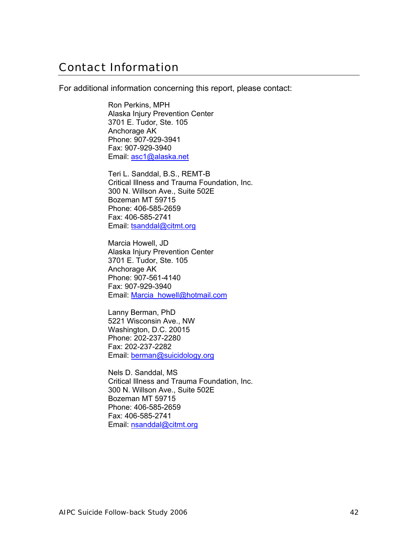#### Contact Information

For additional information concerning this report, please contact:

Ron Perkins, MPH Alaska Injury Prevention Center 3701 E. Tudor, Ste. 105 Anchorage AK Phone: 907-929-3941 Fax: 907-929-3940 Email: asc1@alaska.net

Teri L. Sanddal, B.S., REMT-B Critical Illness and Trauma Foundation, Inc. 300 N. Willson Ave., Suite 502E Bozeman MT 59715 Phone: 406-585-2659 Fax: 406-585-2741 Email: tsanddal@citmt.org

Marcia Howell, JD Alaska Injury Prevention Center 3701 E. Tudor, Ste. 105 Anchorage AK Phone: 907-561-4140 Fax: 907-929-3940 Email: Marcia\_howell@hotmail.com

Lanny Berman, PhD 5221 Wisconsin Ave., NW Washington, D.C. 20015 Phone: 202-237-2280 Fax: 202-237-2282 Email: berman@suicidology.org

Nels D. Sanddal, MS Critical Illness and Trauma Foundation, Inc. 300 N. Willson Ave., Suite 502E Bozeman MT 59715 Phone: 406-585-2659 Fax: 406-585-2741 Email: nsanddal@citmt.org